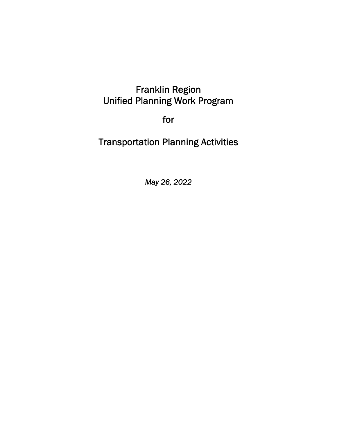# Franklin Region Unified Planning Work Program

for

Transportation Planning Activities

*May 26, 2022*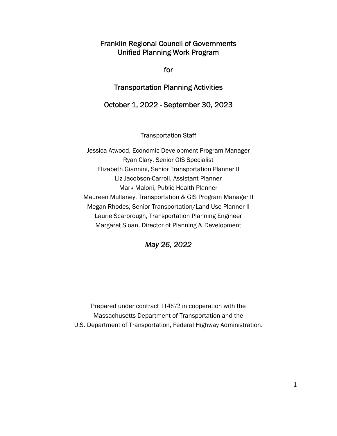Franklin Regional Council of Governments Unified Planning Work Program

for

Transportation Planning Activities

October 1, 2022 - September 30, 2023

Transportation Staff

Jessica Atwood, Economic Development Program Manager Ryan Clary, Senior GIS Specialist Elizabeth Giannini, Senior Transportation Planner II Liz Jacobson-Carroll, Assistant Planner Mark Maloni, Public Health Planner Maureen Mullaney, Transportation & GIS Program Manager II Megan Rhodes, Senior Transportation/Land Use Planner II Laurie Scarbrough, Transportation Planning Engineer Margaret Sloan, Director of Planning & Development



Prepared under contract 114672 in cooperation with the Massachusetts Department of Transportation and the U.S. Department of Transportation, Federal Highway Administration.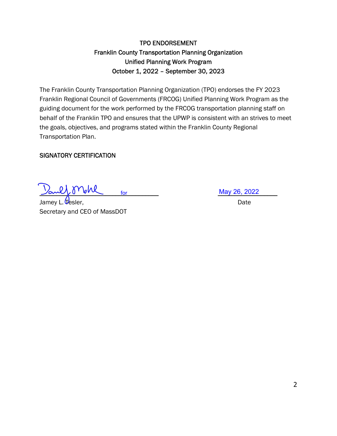# TPO ENDORSEMENT Franklin County Transportation Planning Organization Unified Planning Work Program October 1, 2022 – September 30, 2023

The Franklin County Transportation Planning Organization (TPO) endorses the FY 2023 Franklin Regional Council of Governments (FRCOG) Unified Planning Work Program as the guiding document for the work performed by the FRCOG transportation planning staff on behalf of the Franklin TPO and ensures that the UPWP is consistent with an strives to meet the goals, objectives, and programs stated within the Franklin County Regional Transportation Plan.

# SIGNATORY CERTIFICATION

<u>Sault Mohl</u> for

Jamey L. Tesler, Date Secretary and CEO of MassDOT

May 26, 2022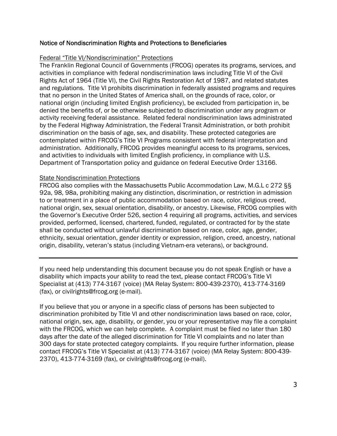#### Notice of Nondiscrimination Rights and Protections to Beneficiaries

#### Federal "Title VI/Nondiscrimination" Protections

The Franklin Regional Council of Governments (FRCOG) operates its programs, services, and activities in compliance with federal nondiscrimination laws including Title VI of the Civil Rights Act of 1964 (Title VI), the Civil Rights Restoration Act of 1987, and related statutes and regulations. Title VI prohibits discrimination in federally assisted programs and requires that no person in the United States of America shall, on the grounds of race, color, or national origin (including limited English proficiency), be excluded from participation in, be denied the benefits of, or be otherwise subjected to discrimination under any program or activity receiving federal assistance. Related federal nondiscrimination laws administrated by the Federal Highway Administration, the Federal Transit Administration, or both prohibit discrimination on the basis of age, sex, and disability. These protected categories are contemplated within FRCOG's Title VI Programs consistent with federal interpretation and administration. Additionally, FRCOG provides meaningful access to its programs, services, and activities to individuals with limited English proficiency, in compliance with U.S. Department of Transportation policy and guidance on federal Executive Order 13166.

#### State Nondiscrimination Protections

FRCOG also complies with the Massachusetts Public Accommodation Law, M.G.L c 272 §§ 92a, 98, 98a, prohibiting making any distinction, discrimination, or restriction in admission to or treatment in a place of public accommodation based on race, color, religious creed, national origin, sex, sexual orientation, disability, or ancestry. Likewise, FRCOG complies with the Governor's Executive Order 526, section 4 requiring all programs, activities, and services provided, performed, licensed, chartered, funded, regulated, or contracted for by the state shall be conducted without unlawful discrimination based on race, color, age, gender, ethnicity, sexual orientation, gender identity or expression, religion, creed, ancestry, national origin, disability, veteran's status (including Vietnam-era veterans), or background.

If you need help understanding this document because you do not speak English or have a disability which impacts your ability to read the text, please contact FRCOG's Title VI Specialist at (413) 774-3167 (voice) (MA Relay System: 800-439-2370), 413-774-3169 (fax), or civilrights@frcog.org (e-mail).

If you believe that you or anyone in a specific class of persons has been subjected to discrimination prohibited by Title VI and other nondiscrimination laws based on race, color, national origin, sex, age, disability, or gender, you or your representative may file a complaint with the FRCOG, which we can help complete. A complaint must be filed no later than 180 days after the date of the alleged discrimination for Title VI complaints and no later than 300 days for state protected category complaints. If you require further information, please contact FRCOG's Title VI Specialist at (413) 774-3167 (voice) (MA Relay System: 800-439- 2370), 413-774-3169 (fax), or civilrights@frcog.org (e-mail).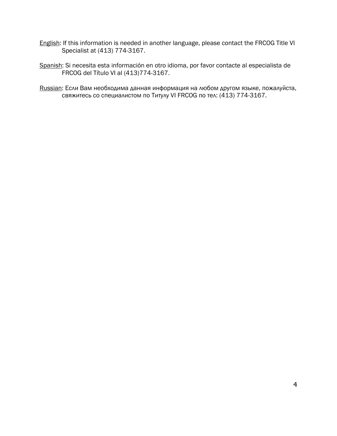- English: If this information is needed in another language, please contact the FRCOG Title VI Specialist at (413) 774-3167.
- Spanish: Si necesita esta información en otro idioma, por favor contacte al especialista de FRCOG del Título VI al (413)774-3167.

Russian: Если Вам необходима данная информация на любом другом языке, пожалуйста, свяжитесь со cпециалистом по Титулу VI FRCOG по тел: (413) 774-3167.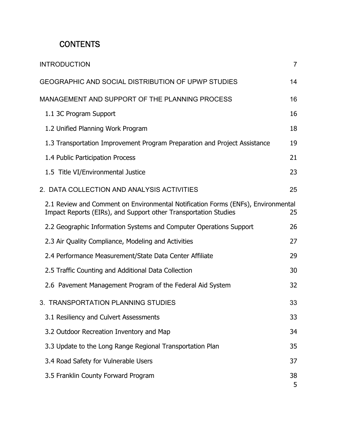# **CONTENTS**

| <b>INTRODUCTION</b>                                                                                                                                 | $\overline{7}$ |
|-----------------------------------------------------------------------------------------------------------------------------------------------------|----------------|
| <b>GEOGRAPHIC AND SOCIAL DISTRIBUTION OF UPWP STUDIES</b>                                                                                           | 14             |
| MANAGEMENT AND SUPPORT OF THE PLANNING PROCESS                                                                                                      | 16             |
| 1.1 3C Program Support                                                                                                                              | 16             |
| 1.2 Unified Planning Work Program                                                                                                                   | 18             |
| 1.3 Transportation Improvement Program Preparation and Project Assistance                                                                           | 19             |
| 1.4 Public Participation Process                                                                                                                    | 21             |
| 1.5 Title VI/Environmental Justice                                                                                                                  | 23             |
| 2. DATA COLLECTION AND ANALYSIS ACTIVITIES                                                                                                          | 25             |
| 2.1 Review and Comment on Environmental Notification Forms (ENFs), Environmental<br>Impact Reports (EIRs), and Support other Transportation Studies | 25             |
| 2.2 Geographic Information Systems and Computer Operations Support                                                                                  | 26             |
| 2.3 Air Quality Compliance, Modeling and Activities                                                                                                 | 27             |
| 2.4 Performance Measurement/State Data Center Affiliate                                                                                             | 29             |
| 2.5 Traffic Counting and Additional Data Collection                                                                                                 | 30             |
| 2.6 Pavement Management Program of the Federal Aid System                                                                                           | 32             |
| 3. TRANSPORTATION PLANNING STUDIES                                                                                                                  | 33             |
| 3.1 Resiliency and Culvert Assessments                                                                                                              | 33             |
| 3.2 Outdoor Recreation Inventory and Map                                                                                                            | 34             |
| 3.3 Update to the Long Range Regional Transportation Plan                                                                                           | 35             |
| 3.4 Road Safety for Vulnerable Users                                                                                                                | 37             |
| 3.5 Franklin County Forward Program                                                                                                                 | 38<br>5        |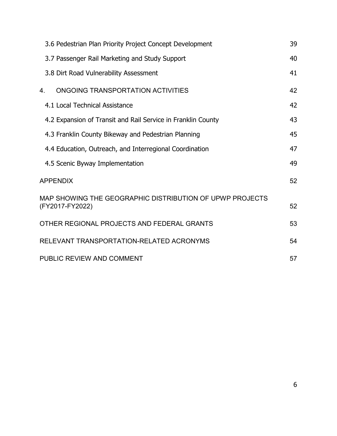|    | 3.6 Pedestrian Plan Priority Project Concept Development                    | 39 |
|----|-----------------------------------------------------------------------------|----|
|    | 3.7 Passenger Rail Marketing and Study Support                              | 40 |
|    | 3.8 Dirt Road Vulnerability Assessment                                      | 41 |
| 4. | ONGOING TRANSPORTATION ACTIVITIES                                           | 42 |
|    | 4.1 Local Technical Assistance                                              | 42 |
|    | 4.2 Expansion of Transit and Rail Service in Franklin County                | 43 |
|    | 4.3 Franklin County Bikeway and Pedestrian Planning                         | 45 |
|    | 4.4 Education, Outreach, and Interregional Coordination                     | 47 |
|    | 4.5 Scenic Byway Implementation                                             | 49 |
|    | <b>APPENDIX</b>                                                             | 52 |
|    | MAP SHOWING THE GEOGRAPHIC DISTRIBUTION OF UPWP PROJECTS<br>(FY2017-FY2022) | 52 |
|    | OTHER REGIONAL PROJECTS AND FEDERAL GRANTS                                  | 53 |
|    | RELEVANT TRANSPORTATION-RELATED ACRONYMS                                    | 54 |
|    | PUBLIC REVIEW AND COMMENT                                                   | 57 |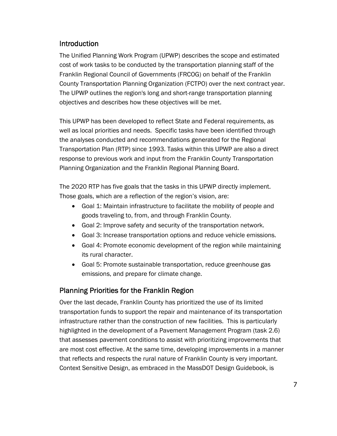# Introduction

The Unified Planning Work Program (UPWP) describes the scope and estimated cost of work tasks to be conducted by the transportation planning staff of the Franklin Regional Council of Governments (FRCOG) on behalf of the Franklin County Transportation Planning Organization (FCTPO) over the next contract year. The UPWP outlines the region's long and short-range transportation planning objectives and describes how these objectives will be met.

This UPWP has been developed to reflect State and Federal requirements, as well as local priorities and needs. Specific tasks have been identified through the analyses conducted and recommendations generated for the Regional Transportation Plan (RTP) since 1993. Tasks within this UPWP are also a direct response to previous work and input from the Franklin County Transportation Planning Organization and the Franklin Regional Planning Board.

The 2020 RTP has five goals that the tasks in this UPWP directly implement. Those goals, which are a reflection of the region's vision, are:

- Goal 1: Maintain infrastructure to facilitate the mobility of people and goods traveling to, from, and through Franklin County.
- Goal 2: Improve safety and security of the transportation network.
- Goal 3: Increase transportation options and reduce vehicle emissions.
- Goal 4: Promote economic development of the region while maintaining its rural character.
- Goal 5: Promote sustainable transportation, reduce greenhouse gas emissions, and prepare for climate change.

# Planning Priorities for the Franklin Region

Over the last decade, Franklin County has prioritized the use of its limited transportation funds to support the repair and maintenance of its transportation infrastructure rather than the construction of new facilities. This is particularly highlighted in the development of a Pavement Management Program (task 2.6) that assesses pavement conditions to assist with prioritizing improvements that are most cost effective. At the same time, developing improvements in a manner that reflects and respects the rural nature of Franklin County is very important. Context Sensitive Design, as embraced in the MassDOT Design Guidebook, is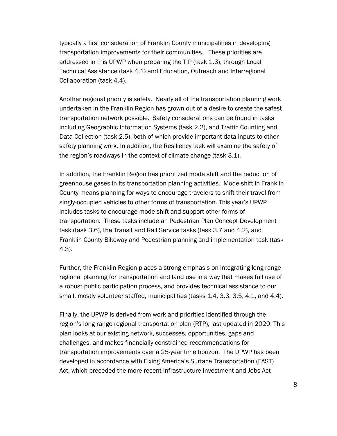typically a first consideration of Franklin County municipalities in developing transportation improvements for their communities. These priorities are addressed in this UPWP when preparing the TIP (task 1.3), through Local Technical Assistance (task 4.1) and Education, Outreach and Interregional Collaboration (task 4.4).

Another regional priority is safety. Nearly all of the transportation planning work undertaken in the Franklin Region has grown out of a desire to create the safest transportation network possible. Safety considerations can be found in tasks including Geographic Information Systems (task 2.2), and Traffic Counting and Data Collection (task 2.5), both of which provide important data inputs to other safety planning work. In addition, the Resiliency task will examine the safety of the region's roadways in the context of climate change (task 3.1).

In addition, the Franklin Region has prioritized mode shift and the reduction of greenhouse gases in its transportation planning activities. Mode shift in Franklin County means planning for ways to encourage travelers to shift their travel from singly-occupied vehicles to other forms of transportation. This year's UPWP includes tasks to encourage mode shift and support other forms of transportation. These tasks include an Pedestrian Plan Concept Development task (task 3.6), the Transit and Rail Service tasks (task 3.7 and 4.2), and Franklin County Bikeway and Pedestrian planning and implementation task (task 4.3).

Further, the Franklin Region places a strong emphasis on integrating long range regional planning for transportation and land use in a way that makes full use of a robust public participation process, and provides technical assistance to our small, mostly volunteer staffed, municipalities (tasks 1.4, 3.3, 3.5, 4.1, and 4.4).

Finally, the UPWP is derived from work and priorities identified through the region's long range regional transportation plan (RTP), last updated in 2020. This plan looks at our existing network, successes, opportunities, gaps and challenges, and makes financially-constrained recommendations for transportation improvements over a 25-year time horizon. The UPWP has been developed in accordance with Fixing America's Surface Transportation (FAST) Act, which preceded the more recent Infrastructure Investment and Jobs Act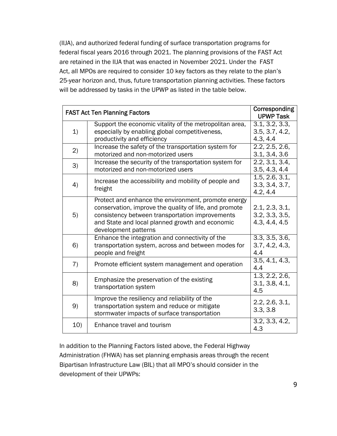(IIJA), and authorized federal funding of surface transportation programs for federal fiscal years 2016 through 2021. The planning provisions of the FAST Act are retained in the IIJA that was enacted in November 2021. Under the FAST Act, all MPOs are required to consider 10 key factors as they relate to the plan's 25-year horizon and, thus, future transportation planning activities. These factors will be addressed by tasks in the UPWP as listed in the table below.

| <b>FAST Act Ten Planning Factors</b> | Corresponding<br><b>UPWP Task</b>                       |                |
|--------------------------------------|---------------------------------------------------------|----------------|
|                                      | Support the economic vitality of the metropolitan area, | 3.1, 3.2, 3.3, |
| 1)                                   | especially by enabling global competitiveness,          | 3.5, 3.7, 4.2, |
|                                      | productivity and efficiency                             | 4.3, 4.4       |
|                                      | Increase the safety of the transportation system for    | 2.2, 2.5, 2.6, |
| 2)                                   | motorized and non-motorized users                       |                |
|                                      |                                                         | 3.1, 3.4, 3.6  |
| 3)                                   | Increase the security of the transportation system for  | 2.2, 3.1, 3.4, |
|                                      | motorized and non-motorized users                       | 3.5, 4.3, 4.4  |
|                                      | Increase the accessibility and mobility of people and   | 1.5, 2.6, 3.1, |
| 4)                                   | freight                                                 | 3.3, 3.4, 3.7, |
|                                      |                                                         | 4.2, 4.4       |
|                                      | Protect and enhance the environment, promote energy     |                |
|                                      | conservation, improve the quality of life, and promote  | 2.1, 2.3, 3.1, |
| 5)                                   | consistency between transportation improvements         | 3.2, 3.3, 3.5, |
|                                      | and State and local planned growth and economic         | 4.3, 4.4, 4.5  |
|                                      | development patterns                                    |                |
|                                      | Enhance the integration and connectivity of the         | 3.3, 3.5, 3.6, |
| 6)                                   | transportation system, across and between modes for     | 3.7, 4.2, 4.3, |
|                                      | people and freight                                      | 4.4            |
|                                      |                                                         | 3.5, 4.1, 4.3, |
| 7)                                   | Promote efficient system management and operation       | 4.4            |
|                                      |                                                         | 1.3, 2.2, 2.6, |
| 8)                                   | Emphasize the preservation of the existing              | 3.1, 3.8, 4.1, |
|                                      | transportation system                                   | 4.5            |
|                                      | Improve the resiliency and reliability of the           |                |
| 9)                                   | transportation system and reduce or mitigate            | 2.2, 2.6, 3.1, |
|                                      | stormwater impacts of surface transportation            | 3.3, 3.8       |
|                                      |                                                         | 3.2, 3.3, 4.2, |
| 10)                                  | Enhance travel and tourism                              | 4.3            |

In addition to the Planning Factors listed above, the Federal Highway Administration (FHWA) has set planning emphasis areas through the recent Bipartisan Infrastructure Law (BIL) that all MPO's should consider in the development of their UPWPs: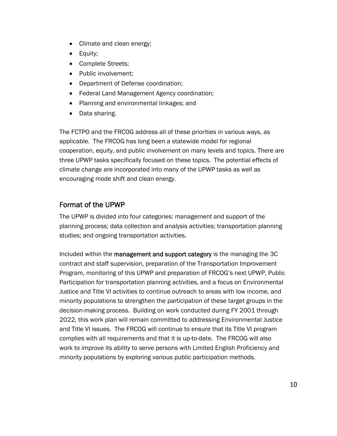- Climate and clean energy;
- Equity;
- Complete Streets;
- Public involvement:
- Department of Defense coordination;
- Federal Land Management Agency coordination;
- Planning and environmental linkages; and
- Data sharing.

The FCTPO and the FRCOG address all of these priorities in various ways, as applicable. The FRCOG has long been a statewide model for regional cooperation, equity, and public involvement on many levels and topics. There are three UPWP tasks specifically focused on these topics. The potential effects of climate change are incorporated into many of the UPWP tasks as well as encouraging mode shift and clean energy.

# Format of the UPWP

The UPWP is divided into four categories: management and support of the planning process; data collection and analysis activities; transportation planning studies; and ongoing transportation activities.

Included within the management and support category is the managing the 3C contract and staff supervision, preparation of the Transportation Improvement Program, monitoring of this UPWP and preparation of FRCOG's next UPWP, Public Participation for transportation planning activities, and a focus on Environmental Justice and Title VI activities to continue outreach to areas with low income, and minority populations to strengthen the participation of these target groups in the decision-making process. Building on work conducted during FY 2001 through 2022, this work plan will remain committed to addressing Environmental Justice and Title VI issues. The FRCOG will continue to ensure that its Title VI program complies with all requirements and that it is up-to-date. The FRCOG will also work to improve its ability to serve persons with Limited English Proficiency and minority populations by exploring various public participation methods.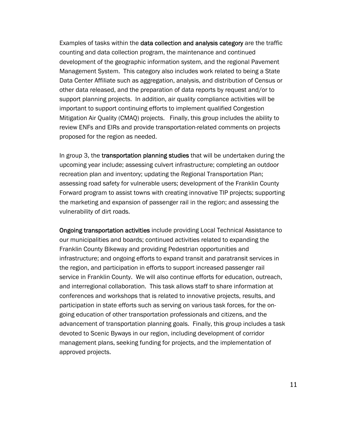Examples of tasks within the data collection and analysis category are the traffic counting and data collection program, the maintenance and continued development of the geographic information system, and the regional Pavement Management System. This category also includes work related to being a State Data Center Affiliate such as aggregation, analysis, and distribution of Census or other data released, and the preparation of data reports by request and/or to support planning projects. In addition, air quality compliance activities will be important to support continuing efforts to implement qualified Congestion Mitigation Air Quality (CMAQ) projects. Finally, this group includes the ability to review ENFs and EIRs and provide transportation-related comments on projects proposed for the region as needed.

In group 3, the transportation planning studies that will be undertaken during the upcoming year include; assessing culvert infrastructure; completing an outdoor recreation plan and inventory; updating the Regional Transportation Plan; assessing road safety for vulnerable users; development of the Franklin County Forward program to assist towns with creating innovative TIP projects; supporting the marketing and expansion of passenger rail in the region; and assessing the vulnerability of dirt roads.

Ongoing transportation activities include providing Local Technical Assistance to our municipalities and boards; continued activities related to expanding the Franklin County Bikeway and providing Pedestrian opportunities and infrastructure; and ongoing efforts to expand transit and paratransit services in the region, and participation in efforts to support increased passenger rail service in Franklin County. We will also continue efforts for education, outreach, and interregional collaboration. This task allows staff to share information at conferences and workshops that is related to innovative projects, results, and participation in state efforts such as serving on various task forces, for the ongoing education of other transportation professionals and citizens, and the advancement of transportation planning goals. Finally, this group includes a task devoted to Scenic Byways in our region, including development of corridor management plans, seeking funding for projects, and the implementation of approved projects.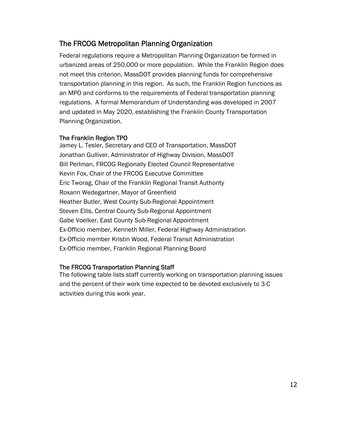# The FRCOG Metropolitan Planning Organization

Federal regulations require a Metropolitan Planning Organization be formed in urbanized areas of 250,000 or more population. While the Franklin Region does not meet this criterion, MassDOT provides planning funds for comprehensive transportation planning in this region. As such, the Franklin Region functions as an MPO and conforms to the requirements of Federal transportation planning regulations. A formal Memorandum of Understanding was developed in 2007 and updated in May 2020, establishing the Franklin County Transportation Planning Organization.

# The Franklin Region TPO

Jamey L. Tesler, Secretary and CEO of Transportation, MassDOT Jonathan Gulliver, Administrator of Highway Division, MassDOT Bill Perlman, FRCOG Regionally Elected Council Representative Kevin Fox, Chair of the FRCOG Executive Committee Eric Tworag, Chair of the Franklin Regional Transit Authority Roxann Wedegartner, Mayor of Greenfield Heather Butler, West County Sub-Regional Appointment Steven Ellis, Central County Sub-Regional Appointment Gabe Voelker, East County Sub-Regional Appointment Ex-Officio member, Kenneth Miller, Federal Highway Administration Ex-Officio member Kristin Wood, Federal Transit Administration Ex-Officio member, Franklin Regional Planning Board

# The FRCOG Transportation Planning Staff

The following table lists staff currently working on transportation planning issues and the percent of their work time expected to be devoted exclusively to 3-C activities during this work year.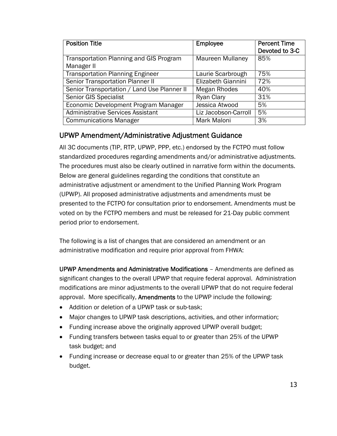| <b>Position Title</b>                                        | <b>Employee</b>         | <b>Percent Time</b><br>Devoted to 3-C |
|--------------------------------------------------------------|-------------------------|---------------------------------------|
| <b>Transportation Planning and GIS Program</b><br>Manager II | <b>Maureen Mullaney</b> | 85%                                   |
| <b>Transportation Planning Engineer</b>                      | Laurie Scarbrough       | 75%                                   |
| Senior Transportation Planner II                             | Elizabeth Giannini      | 72%                                   |
| Senior Transportation / Land Use Planner II                  | Megan Rhodes            | 40%                                   |
| Senior GIS Specialist                                        | Ryan Clary              | 31%                                   |
| Economic Development Program Manager                         | Jessica Atwood          | 5%                                    |
| <b>Administrative Services Assistant</b>                     | Liz Jacobson-Carroll    | 5%                                    |
| <b>Communications Manager</b>                                | Mark Maloni             | 3%                                    |

# UPWP Amendment/Administrative Adjustment Guidance

All 3C documents (TIP, RTP, UPWP, PPP, etc.) endorsed by the FCTPO must follow standardized procedures regarding amendments and/or administrative adjustments. The procedures must also be clearly outlined in narrative form within the documents. Below are general guidelines regarding the conditions that constitute an administrative adjustment or amendment to the Unified Planning Work Program (UPWP). All proposed administrative adjustments and amendments must be presented to the FCTPO for consultation prior to endorsement. Amendments must be voted on by the FCTPO members and must be released for 21-Day public comment period prior to endorsement.

The following is a list of changes that are considered an amendment or an administrative modification and require prior approval from FHWA:

UPWP Amendments and Administrative Modifications – Amendments are defined as significant changes to the overall UPWP that require federal approval. Administration modifications are minor adjustments to the overall UPWP that do not require federal approval. More specifically, Amendments to the UPWP include the following:

- Addition or deletion of a UPWP task or sub-task;
- Major changes to UPWP task descriptions, activities, and other information;
- Funding increase above the originally approved UPWP overall budget;
- Funding transfers between tasks equal to or greater than 25% of the UPWP task budget; and
- Funding increase or decrease equal to or greater than 25% of the UPWP task budget.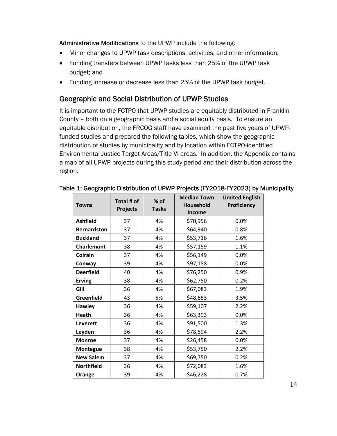Administrative Modifications to the UPWP include the following:

- Minor changes to UPWP task descriptions, activities, and other information;
- Funding transfers between UPWP tasks less than 25% of the UPWP task budget; and
- Funding increase or decrease less than 25% of the UPWP task budget.

# Geographic and Social Distribution of UPWP Studies

It is important to the FCTPO that UPWP studies are equitably distributed in Franklin County – both on a geographic basis and a social equity basis. To ensure an equitable distribution, the FRCOG staff have examined the past five years of UPWPfunded studies and prepared the following tables, which show the geographic distribution of studies by municipality and by location within FCTPO-identified Environmental Justice Target Areas/Title VI areas. In addition, the Appendix contains a map of all UPWP projects during this study period and their distribution across the region.

| <b>Towns</b>       | Total # of<br><b>Projects</b> | % of<br><b>Tasks</b> | <b>Median Town</b><br><b>Household</b><br><b>Income</b> | <b>Limited English</b><br>Proficiency |
|--------------------|-------------------------------|----------------------|---------------------------------------------------------|---------------------------------------|
| <b>Ashfield</b>    | 37                            | 4%                   | \$70,956                                                | 0.0%                                  |
| <b>Bernardston</b> | 37                            | 4%                   | \$64,940                                                | 0.8%                                  |
| <b>Buckland</b>    | 37                            | 4%                   | \$53,716                                                | 1.6%                                  |
| <b>Charlemont</b>  | 38                            | 4%                   | \$57,159                                                | 1.1%                                  |
| Colrain            | 37                            | 4%                   | \$56,149                                                | 0.0%                                  |
| Conway             | 39                            | 4%                   | \$97,188                                                | 0.0%                                  |
| <b>Deerfield</b>   | 40                            | 4%                   | \$76,250                                                | 0.9%                                  |
| <b>Erving</b>      | 38                            | 4%                   | \$62,750                                                | 0.2%                                  |
| Gill               | 36                            | 4%                   | \$67,083                                                | 1.9%                                  |
| Greenfield         | 43                            | 5%                   | \$48,653                                                | 3.5%                                  |
| <b>Hawley</b>      | 36                            | 4%                   | \$59,107                                                | 2.2%                                  |
| <b>Heath</b>       | 36                            | 4%                   | \$63,393                                                | 0.0%                                  |
| Leverett           | 36                            | 4%                   | \$91,500                                                | 1.3%                                  |
| Leyden             | 36                            | 4%                   | \$78,594                                                | 2.2%                                  |
| <b>Monroe</b>      | 37                            | 4%                   | \$26,458                                                | 0.0%                                  |
| <b>Montague</b>    | 38                            | 4%                   | \$53,750                                                | 2.2%                                  |
| <b>New Salem</b>   | 37                            | 4%                   | \$69,750                                                | 0.2%                                  |
| <b>Northfield</b>  | 36                            | 4%                   | \$72,083                                                | 1.6%                                  |
| Orange             | 39                            | 4%                   | \$46,228                                                | 0.7%                                  |

#### Table 1: Geographic Distribution of UPWP Projects (FY2018-FY2023) by Municipality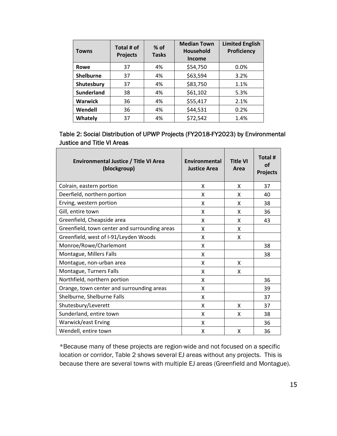| <b>Towns</b>      | Total # of<br><b>Projects</b> | $%$ of<br><b>Tasks</b> | <b>Median Town</b><br><b>Household</b><br>Income | <b>Limited English</b><br><b>Proficiency</b> |
|-------------------|-------------------------------|------------------------|--------------------------------------------------|----------------------------------------------|
| Rowe              | 37                            | 4%                     | \$54,750                                         | 0.0%                                         |
| <b>Shelburne</b>  | 37                            | 4%                     | \$63,594                                         | 3.2%                                         |
| Shutesbury        | 37                            | 4%                     | \$83,750                                         | 1.1%                                         |
| <b>Sunderland</b> | 38                            | 4%                     | \$61,102                                         | 5.3%                                         |
| <b>Warwick</b>    | 36                            | 4%                     | \$55,417                                         | 2.1%                                         |
| Wendell           | 36                            | 4%                     | \$44,531                                         | 0.2%                                         |
| Whately           | 37                            | 4%                     | \$72,542                                         | 1.4%                                         |

Table 2: Social Distribution of UPWP Projects (FY2018-FY2023) by Environmental Justice and Title VI Areas  $\overline{\phantom{a}}$ 

| <b>Environmental Justice / Title VI Area</b><br>(blockgroup) | Environmental<br><b>Justice Area</b> | <b>Title VI</b><br>Area | Total #<br>οf<br><b>Projects</b> |
|--------------------------------------------------------------|--------------------------------------|-------------------------|----------------------------------|
| Colrain, eastern portion                                     | X                                    | X                       | 37                               |
| Deerfield, northern portion                                  | X                                    | X                       | 40                               |
| Erving, western portion                                      | X                                    | X                       | 38                               |
| Gill, entire town                                            | X                                    | X                       | 36                               |
| Greenfield, Cheapside area                                   | X                                    | X                       | 43                               |
| Greenfield, town center and surrounding areas                | X                                    | X                       |                                  |
| Greenfield, west of I-91/Leyden Woods                        | X                                    | X                       |                                  |
| Monroe/Rowe/Charlemont                                       | X                                    |                         | 38                               |
| Montague, Millers Falls                                      | X                                    |                         | 38                               |
| Montague, non-urban area                                     | X                                    | X                       |                                  |
| Montague, Turners Falls                                      | X                                    | x                       |                                  |
| Northfield, northern portion                                 | X                                    |                         | 36                               |
| Orange, town center and surrounding areas                    | X                                    |                         | 39                               |
| Shelburne, Shelburne Falls                                   | X                                    |                         | 37                               |
| Shutesbury/Leverett                                          | X                                    | X                       | 37                               |
| Sunderland, entire town                                      | X                                    | X                       | 38                               |
| Warwick/east Erving                                          | Χ                                    |                         | 36                               |
| Wendell, entire town                                         | Χ                                    | X                       | 36                               |

\*Because many of these projects are region-wide and not focused on a specific location or corridor, Table 2 shows several EJ areas without any projects. This is because there are several towns with multiple EJ areas (Greenfield and Montague).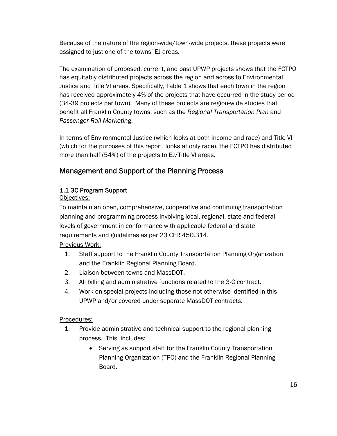Because of the nature of the region-wide/town-wide projects, these projects were assigned to just one of the towns' EJ areas.

The examination of proposed, current, and past UPWP projects shows that the FCTPO has equitably distributed projects across the region and across to Environmental Justice and Title VI areas. Specifically, Table 1 shows that each town in the region has received approximately 4% of the projects that have occurred in the study period (34-39 projects per town). Many of these projects are region-wide studies that benefit all Franklin County towns, such as the *Regional Transportation Plan* and *Passenger Rail Marketing*.

In terms of Environmental Justice (which looks at both income and race) and Title VI (which for the purposes of this report, looks at only race), the FCTPO has distributed more than half (54%) of the projects to EJ/Title VI areas.

# Management and Support of the Planning Process

# 1.1 3C Program Support

# Objectives:

To maintain an open, comprehensive, cooperative and continuing transportation planning and programming process involving local, regional, state and federal levels of government in conformance with applicable federal and state requirements and guidelines as per 23 CFR 450.314.

Previous Work:

- 1. Staff support to the Franklin County Transportation Planning Organization and the Franklin Regional Planning Board.
- 2. Liaison between towns and MassDOT.
- 3. All billing and administrative functions related to the 3-C contract.
- 4. Work on special projects including those not otherwise identified in this UPWP and/or covered under separate MassDOT contracts.

Procedures:

- 1. Provide administrative and technical support to the regional planning process. This includes:
	- Serving as support staff for the Franklin County Transportation Planning Organization (TPO) and the Franklin Regional Planning Board.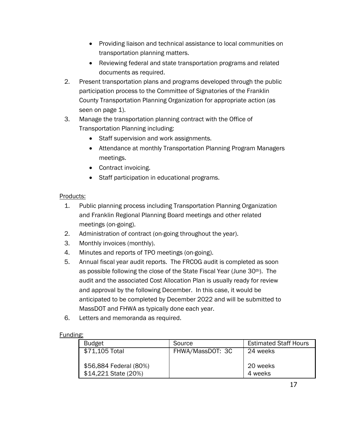- Providing liaison and technical assistance to local communities on transportation planning matters.
- Reviewing federal and state transportation programs and related documents as required.
- 2. Present transportation plans and programs developed through the public participation process to the Committee of Signatories of the Franklin County Transportation Planning Organization for appropriate action (as seen on page 1).
- 3. Manage the transportation planning contract with the Office of Transportation Planning including:
	- Staff supervision and work assignments.
	- Attendance at monthly Transportation Planning Program Managers meetings.
	- Contract invoicing.
	- Staff participation in educational programs.

# Products:

- 1. Public planning process including Transportation Planning Organization and Franklin Regional Planning Board meetings and other related meetings (on-going).
- 2. Administration of contract (on-going throughout the year).
- 3. Monthly invoices (monthly).
- 4. Minutes and reports of TPO meetings (on-going).
- 5. Annual fiscal year audit reports. The FRCOG audit is completed as soon as possible following the close of the State Fiscal Year (June 30th). The audit and the associated Cost Allocation Plan is usually ready for review and approval by the following December. In this case, it would be anticipated to be completed by December 2022 and will be submitted to MassDOT and FHWA as typically done each year.
- 6. Letters and memoranda as required.

# Funding:

| <b>Budget</b>          | Source           | <b>Estimated Staff Hours</b> |
|------------------------|------------------|------------------------------|
| \$71,105 Total         | FHWA/MassDOT: 3C | 24 weeks                     |
|                        |                  |                              |
| \$56,884 Federal (80%) |                  | 20 weeks                     |
| \$14,221 State (20%)   |                  | 4 weeks                      |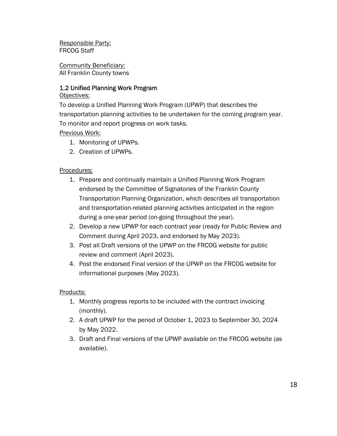Responsible Party: FRCOG Staff

Community Beneficiary: All Franklin County towns

# 1.2 Unified Planning Work Program

### Objectives:

To develop a Unified Planning Work Program (UPWP) that describes the transportation planning activities to be undertaken for the coming program year. To monitor and report progress on work tasks.

# Previous Work:

- 1. Monitoring of UPWPs.
- 2. Creation of UPWPs.

## Procedures:

- 1. Prepare and continually maintain a Unified Planning Work Program endorsed by the Committee of Signatories of the Franklin County Transportation Planning Organization, which describes all transportation and transportation-related planning activities anticipated in the region during a one-year period (on-going throughout the year).
- 2. Develop a new UPWP for each contract year (ready for Public Review and Comment during April 2023, and endorsed by May 2023).
- 3. Post all Draft versions of the UPWP on the FRCOG website for public review and comment (April 2023).
- 4. Post the endorsed Final version of the UPWP on the FRCOG website for informational purposes (May 2023).

#### Products:

- 1. Monthly progress reports to be included with the contract invoicing (monthly).
- 2. A draft UPWP for the period of October 1, 2023 to September 30, 2024 by May 2022.
- 3. Draft and Final versions of the UPWP available on the FRCOG website (as available).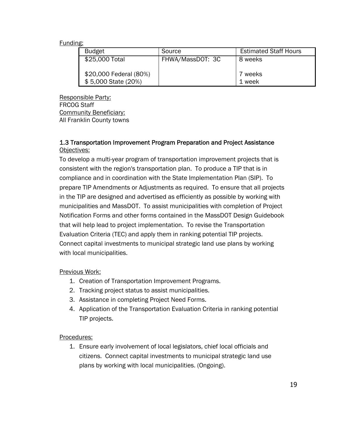| <b>Budget</b>                                 | Source           | <b>Estimated Staff Hours</b> |
|-----------------------------------------------|------------------|------------------------------|
| \$25,000 Total                                | FHWA/MassDOT: 3C | 8 weeks                      |
| \$20,000 Federal (80%)<br>\$5,000 State (20%) |                  | 7 weeks<br>1 week            |

Responsible Party: FRCOG Staff Community Beneficiary: All Franklin County towns

## 1.3 Transportation Improvement Program Preparation and Project Assistance Objectives:

To develop a multi-year program of transportation improvement projects that is consistent with the region's transportation plan. To produce a TIP that is in compliance and in coordination with the State Implementation Plan (SIP). To prepare TIP Amendments or Adjustments as required. To ensure that all projects in the TIP are designed and advertised as efficiently as possible by working with municipalities and MassDOT. To assist municipalities with completion of Project Notification Forms and other forms contained in the MassDOT Design Guidebook that will help lead to project implementation. To revise the Transportation Evaluation Criteria (TEC) and apply them in ranking potential TIP projects. Connect capital investments to municipal strategic land use plans by working with local municipalities.

#### Previous Work:

- 1. Creation of Transportation Improvement Programs.
- 2. Tracking project status to assist municipalities.
- 3. Assistance in completing Project Need Forms.
- 4. Application of the Transportation Evaluation Criteria in ranking potential TIP projects.

# Procedures:

1. Ensure early involvement of local legislators, chief local officials and citizens. Connect capital investments to municipal strategic land use plans by working with local municipalities. (Ongoing).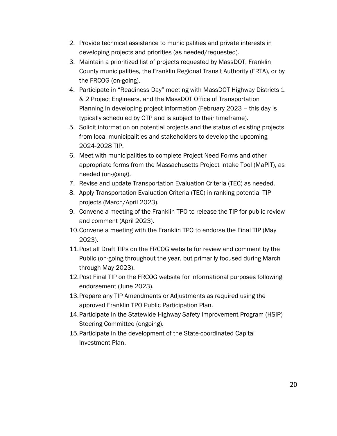- 2. Provide technical assistance to municipalities and private interests in developing projects and priorities (as needed/requested).
- 3. Maintain a prioritized list of projects requested by MassDOT, Franklin County municipalities, the Franklin Regional Transit Authority (FRTA), or by the FRCOG (on-going).
- 4. Participate in "Readiness Day" meeting with MassDOT Highway Districts 1 & 2 Project Engineers, and the MassDOT Office of Transportation Planning in developing project information (February 2023 – this day is typically scheduled by OTP and is subject to their timeframe).
- 5. Solicit information on potential projects and the status of existing projects from local municipalities and stakeholders to develop the upcoming 2024-2028 TIP.
- 6. Meet with municipalities to complete Project Need Forms and other appropriate forms from the Massachusetts Project Intake Tool (MaPIT), as needed (on-going).
- 7. Revise and update Transportation Evaluation Criteria (TEC) as needed.
- 8. Apply Transportation Evaluation Criteria (TEC) in ranking potential TIP projects (March/April 2023).
- 9. Convene a meeting of the Franklin TPO to release the TIP for public review and comment (April 2023).
- 10.Convene a meeting with the Franklin TPO to endorse the Final TIP (May 2023).
- 11.Post all Draft TIPs on the FRCOG website for review and comment by the Public (on-going throughout the year, but primarily focused during March through May 2023).
- 12.Post Final TIP on the FRCOG website for informational purposes following endorsement (June 2023).
- 13.Prepare any TIP Amendments or Adjustments as required using the approved Franklin TPO Public Participation Plan.
- 14.Participate in the Statewide Highway Safety Improvement Program (HSIP) Steering Committee (ongoing).
- 15.Participate in the development of the State-coordinated Capital Investment Plan.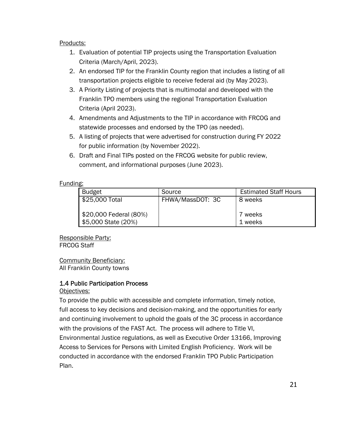#### Products:

- 1. Evaluation of potential TIP projects using the Transportation Evaluation Criteria (March/April, 2023).
- 2. An endorsed TIP for the Franklin County region that includes a listing of all transportation projects eligible to receive federal aid (by May 2023).
- 3. A Priority Listing of projects that is multimodal and developed with the Franklin TPO members using the regional Transportation Evaluation Criteria (April 2023).
- 4. Amendments and Adjustments to the TIP in accordance with FRCOG and statewide processes and endorsed by the TPO (as needed).
- 5. A listing of projects that were advertised for construction during FY 2022 for public information (by November 2022).
- 6. Draft and Final TIPs posted on the FRCOG website for public review, comment, and informational purposes (June 2023).

#### Funding:

| <b>Budget</b>                                 | Source           | <b>Estimated Staff Hours</b> |
|-----------------------------------------------|------------------|------------------------------|
| \$25,000 Total                                | FHWA/MassDOT: 3C | 8 weeks                      |
| \$20,000 Federal (80%)<br>\$5,000 State (20%) |                  | 7 weeks<br>1 weeks           |

Responsible Party: FRCOG Staff

#### Community Beneficiary: All Franklin County towns

# 1.4 Public Participation Process

#### Objectives:

To provide the public with accessible and complete information, timely notice, full access to key decisions and decision-making, and the opportunities for early and continuing involvement to uphold the goals of the 3C process in accordance with the provisions of the FAST Act. The process will adhere to Title VI, Environmental Justice regulations, as well as Executive Order 13166, Improving Access to Services for Persons with Limited English Proficiency. Work will be conducted in accordance with the endorsed Franklin TPO Public Participation Plan.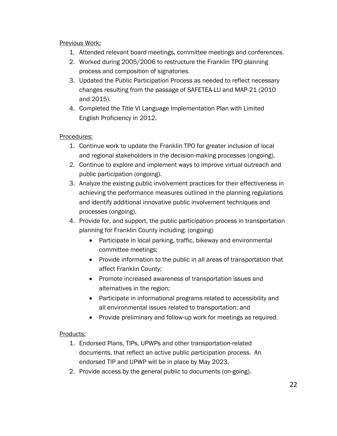## Previous Work:

- 1. Attended relevant board meetings, committee meetings and conferences.
- 2. Worked during 2005/2006 to restructure the Franklin TPO planning process and composition of signatories.
- 3. Updated the Public Participation Process as needed to reflect necessary changes resulting from the passage of SAFETEA-LU and MAP-21 (2010 and 2015).
- 4. Completed the Title VI Language Implementation Plan with Limited English Proficiency in 2012.

## Procedures:

- 1. Continue work to update the Franklin TPO for greater inclusion of local and regional stakeholders in the decision-making processes (ongoing).
- 2. Continue to explore and implement ways to improve virtual outreach and public participation (ongoing).
- 3. Analyze the existing public involvement practices for their effectiveness in achieving the performance measures outlined in the planning regulations and identify additional innovative public involvement techniques and processes (ongoing).
- 4. Provide for, and support, the public participation process in transportation planning for Franklin County including: (ongoing)
	- Participate in local parking, traffic, bikeway and environmental committee meetings;
	- Provide information to the public in all areas of transportation that affect Franklin County;
	- Promote increased awareness of transportation issues and alternatives in the region;
	- Participate in informational programs related to accessibility and all environmental issues related to transportation; and
	- Provide preliminary and follow-up work for meetings as required.

#### Products:

- 1. Endorsed Plans, TIPs, UPWPs and other transportation-related documents, that reflect an active public participation process. An endorsed TIP and UPWP will be in place by May 2023.
- 2. Provide access by the general public to documents (on-going).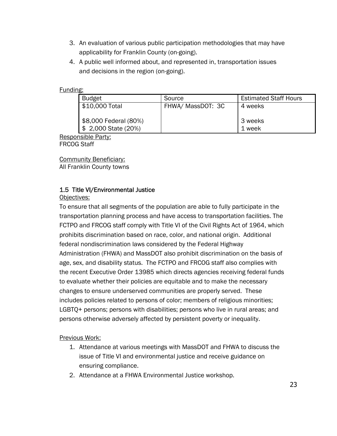- 3. An evaluation of various public participation methodologies that may have applicability for Franklin County (on-going).
- 4. A public well informed about, and represented in, transportation issues and decisions in the region (on-going).

| Budget                          | Source            | <b>Estimated Staff Hours</b> |
|---------------------------------|-------------------|------------------------------|
| \$10,000 Total                  | FHWA/ MassDOT: 3C | 4 weeks                      |
|                                 |                   |                              |
| \$8,000 Federal (80%)           |                   | 3 weeks                      |
| $\frac{1}{2}$ 2,000 State (20%) |                   | 1 week                       |

Responsible Party: FRCOG Staff

Community Beneficiary: All Franklin County towns

# 1.5 Title VI/Environmental Justice

#### Objectives:

To ensure that all segments of the population are able to fully participate in the transportation planning process and have access to transportation facilities. The FCTPO and FRCOG staff comply with Title VI of the Civil Rights Act of 1964, which prohibits discrimination based on race, color, and national origin. Additional federal nondiscrimination laws considered by the Federal Highway Administration (FHWA) and MassDOT also prohibit discrimination on the basis of age, sex, and disability status. The FCTPO and FRCOG staff also complies with the recent Executive Order 13985 which directs agencies receiving federal funds to evaluate whether their policies are equitable and to make the necessary changes to ensure underserved communities are properly served. These includes policies related to persons of color; members of religious minorities; LGBTQ+ persons; persons with disabilities; persons who live in rural areas; and persons otherwise adversely affected by persistent poverty or inequality.

#### Previous Work:

- 1. Attendance at various meetings with MassDOT and FHWA to discuss the issue of Title VI and environmental justice and receive guidance on ensuring compliance.
- 2. Attendance at a FHWA Environmental Justice workshop.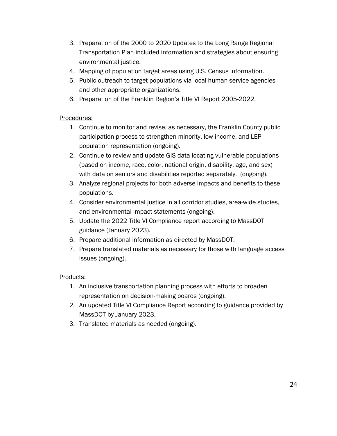- 3. Preparation of the 2000 to 2020 Updates to the Long Range Regional Transportation Plan included information and strategies about ensuring environmental justice.
- 4. Mapping of population target areas using U.S. Census information.
- 5. Public outreach to target populations via local human service agencies and other appropriate organizations.
- 6. Preparation of the Franklin Region's Title VI Report 2005-2022.

# Procedures:

- 1. Continue to monitor and revise, as necessary, the Franklin County public participation process to strengthen minority, low income, and LEP population representation (ongoing).
- 2. Continue to review and update GIS data locating vulnerable populations (based on income, race, color, national origin, disability, age, and sex) with data on seniors and disabilities reported separately. (ongoing).
- 3. Analyze regional projects for both adverse impacts and benefits to these populations.
- 4. Consider environmental justice in all corridor studies, area-wide studies, and environmental impact statements (ongoing).
- 5. Update the 2022 Title VI Compliance report according to MassDOT guidance (January 2023).
- 6. Prepare additional information as directed by MassDOT.
- 7. Prepare translated materials as necessary for those with language access issues (ongoing).

# Products:

- 1. An inclusive transportation planning process with efforts to broaden representation on decision-making boards (ongoing).
- 2. An updated Title VI Compliance Report according to guidance provided by MassDOT by January 2023.
- 3. Translated materials as needed (ongoing).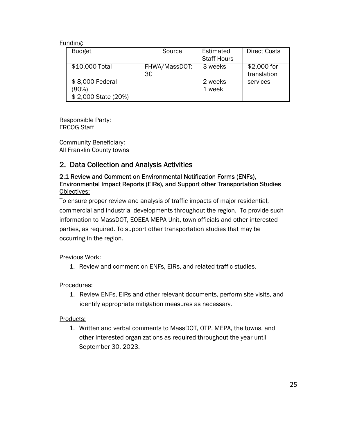| <b>Budget</b>                                                     | Source              | Estimated<br><b>Staff Hours</b> | <b>Direct Costs</b>                    |
|-------------------------------------------------------------------|---------------------|---------------------------------|----------------------------------------|
| \$10,000 Total<br>\$8,000 Federal<br>(80%)<br>\$2,000 State (20%) | FHWA/MassDOT:<br>3C | 3 weeks<br>2 weeks<br>1 week    | \$2,000 for<br>translation<br>services |

Responsible Party: FRCOG Staff

Community Beneficiary: All Franklin County towns

# 2. Data Collection and Analysis Activities

## 2.1 Review and Comment on Environmental Notification Forms (ENFs), Environmental Impact Reports (EIRs), and Support other Transportation Studies Objectives:

To ensure proper review and analysis of traffic impacts of major residential, commercial and industrial developments throughout the region. To provide such information to MassDOT, EOEEA-MEPA Unit, town officials and other interested parties, as required. To support other transportation studies that may be occurring in the region.

# Previous Work:

1. Review and comment on ENFs, EIRs, and related traffic studies.

# Procedures:

1. Review ENFs, EIRs and other relevant documents, perform site visits, and identify appropriate mitigation measures as necessary.

#### Products:

1. Written and verbal comments to MassDOT, OTP, MEPA, the towns, and other interested organizations as required throughout the year until September 30, 2023.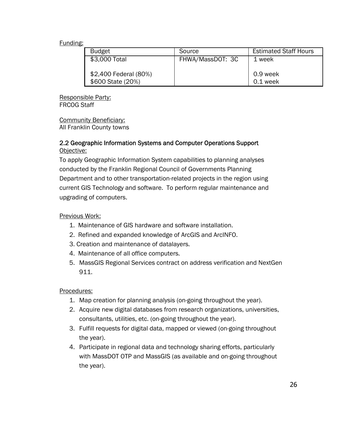| <b>Budget</b>                              | Source           | <b>Estimated Staff Hours</b> |
|--------------------------------------------|------------------|------------------------------|
| \$3,000 Total                              | FHWA/MassDOT: 3C | 1 week                       |
| \$2,400 Federal (80%)<br>\$600 State (20%) |                  | 0.9 week<br>0.1 week         |

Responsible Party: FRCOG Staff

Community Beneficiary: All Franklin County towns

## 2.2 Geographic Information Systems and Computer Operations Support Objective:

To apply Geographic Information System capabilities to planning analyses conducted by the Franklin Regional Council of Governments Planning Department and to other transportation-related projects in the region using current GIS Technology and software. To perform regular maintenance and upgrading of computers.

### Previous Work:

- 1. Maintenance of GIS hardware and software installation.
- 2. Refined and expanded knowledge of ArcGIS and ArcINFO.
- 3. Creation and maintenance of datalayers.
- 4. Maintenance of all office computers.
- 5. MassGIS Regional Services contract on address verification and NextGen 911.

#### Procedures:

- 1. Map creation for planning analysis (on-going throughout the year).
- 2. Acquire new digital databases from research organizations, universities, consultants, utilities, etc. (on-going throughout the year).
- 3. Fulfill requests for digital data, mapped or viewed (on-going throughout the year).
- 4. Participate in regional data and technology sharing efforts, particularly with MassDOT OTP and MassGIS (as available and on-going throughout the year).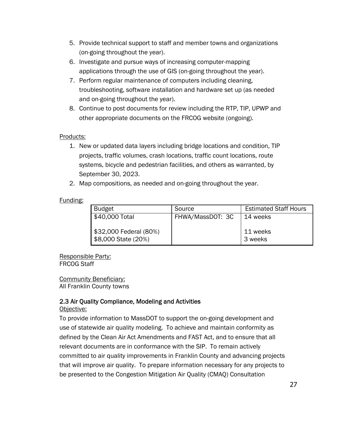- 5. Provide technical support to staff and member towns and organizations (on-going throughout the year).
- 6. Investigate and pursue ways of increasing computer-mapping applications through the use of GIS (on-going throughout the year).
- 7. Perform regular maintenance of computers including cleaning, troubleshooting, software installation and hardware set up (as needed and on-going throughout the year).
- 8. Continue to post documents for review including the RTP, TIP, UPWP and other appropriate documents on the FRCOG website (ongoing).

## Products:

- 1. New or updated data layers including bridge locations and condition, TIP projects, traffic volumes, crash locations, traffic count locations, route systems, bicycle and pedestrian facilities, and others as warranted, by September 30, 2023.
- 2. Map compositions, as needed and on-going throughout the year.

#### Funding:

| <b>Budget</b>                                 | Source           | <b>Estimated Staff Hours</b> |
|-----------------------------------------------|------------------|------------------------------|
| \$40,000 Total                                | FHWA/MassDOT: 3C | 14 weeks                     |
| \$32,000 Federal (80%)<br>\$8,000 State (20%) |                  | 11 weeks<br>3 weeks          |

Responsible Party: FRCOG Staff

Community Beneficiary: All Franklin County towns

# 2.3 Air Quality Compliance, Modeling and Activities

#### Objective:

To provide information to MassDOT to support the on-going development and use of statewide air quality modeling. To achieve and maintain conformity as defined by the Clean Air Act Amendments and FAST Act, and to ensure that all relevant documents are in conformance with the SIP. To remain actively committed to air quality improvements in Franklin County and advancing projects that will improve air quality. To prepare information necessary for any projects to be presented to the Congestion Mitigation Air Quality (CMAQ) Consultation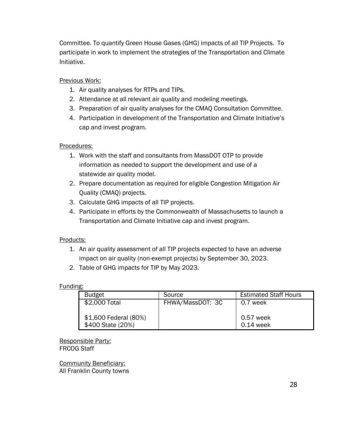Committee. To quantify Green House Gases (GHG) impacts of all TIP Projects. To participate in work to implement the strategies of the Transportation and Climate Initiative.

## Previous Work:

- 1. Air quality analyses for RTPs and TIPs.
- 2. Attendance at all relevant air quality and modeling meetings.
- 3. Preparation of air quality analyses for the CMAQ Consultation Committee.
- 4. Participation in development of the Transportation and Climate Initiative's cap and invest program.

#### Procedures:

- 1. Work with the staff and consultants from MassDOT OTP to provide information as needed to support the development and use of a statewide air quality model.
- 2. Prepare documentation as required for eligible Congestion Mitigation Air Quality (CMAQ) projects.
- 3. Calculate GHG impacts of all TIP projects.
- 4. Participate in efforts by the Commonwealth of Massachusetts to launch a Transportation and Climate Initiative cap and invest program.

#### Products:

- 1. An air quality assessment of all TIP projects expected to have an adverse impact on air quality (non-exempt projects) by September 30, 2023.
- 2. Table of GHG impacts for TIP by May 2023.

#### Funding:

| <b>Budget</b>         | Source           | <b>Estimated Staff Hours</b> |
|-----------------------|------------------|------------------------------|
| \$2,000 Total         | FHWA/MassDOT: 3C | 0.7 week                     |
|                       |                  |                              |
| \$1,600 Federal (80%) |                  | 0.57 week                    |
| \$400 State (20%)     |                  | 0.14 week                    |

Responsible Party: FRCOG Staff

Community Beneficiary: All Franklin County towns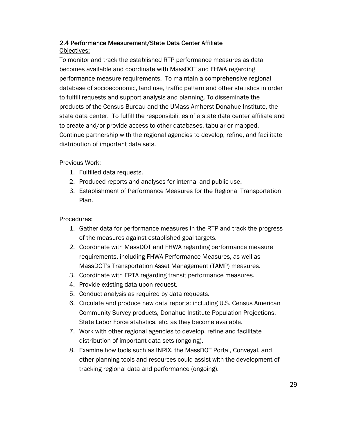# 2.4 Performance Measurement/State Data Center Affiliate

## Objectives:

To monitor and track the established RTP performance measures as data becomes available and coordinate with MassDOT and FHWA regarding performance measure requirements. To maintain a comprehensive regional database of socioeconomic, land use, traffic pattern and other statistics in order to fulfill requests and support analysis and planning. To disseminate the products of the Census Bureau and the UMass Amherst Donahue Institute, the state data center. To fulfill the responsibilities of a state data center affiliate and to create and/or provide access to other databases, tabular or mapped. Continue partnership with the regional agencies to develop, refine, and facilitate distribution of important data sets.

# Previous Work:

- 1. Fulfilled data requests.
- 2. Produced reports and analyses for internal and public use.
- 3. Establishment of Performance Measures for the Regional Transportation Plan.

# Procedures:

- 1. Gather data for performance measures in the RTP and track the progress of the measures against established goal targets.
- 2. Coordinate with MassDOT and FHWA regarding performance measure requirements, including FHWA Performance Measures, as well as MassDOT's Transportation Asset Management (TAMP) measures.
- 3. Coordinate with FRTA regarding transit performance measures.
- 4. Provide existing data upon request.
- 5. Conduct analysis as required by data requests.
- 6. Circulate and produce new data reports: including U.S. Census American Community Survey products, Donahue Institute Population Projections, State Labor Force statistics, etc. as they become available.
- 7. Work with other regional agencies to develop, refine and facilitate distribution of important data sets (ongoing).
- 8. Examine how tools such as INRIX, the MassDOT Portal, Conveyal, and other planning tools and resources could assist with the development of tracking regional data and performance (ongoing).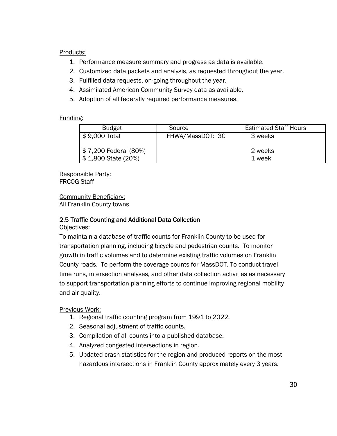#### Products:

- 1. Performance measure summary and progress as data is available.
- 2. Customized data packets and analysis, as requested throughout the year.
- 3. Fulfilled data requests, on-going throughout the year.
- 4. Assimilated American Community Survey data as available.
- 5. Adoption of all federally required performance measures.

#### Funding:

| <b>Budget</b>                                | Source           | <b>Estimated Staff Hours</b> |
|----------------------------------------------|------------------|------------------------------|
| $\frac{1}{2}$ \$ 9,000 Total                 | FHWA/MassDOT: 3C | 3 weeks                      |
| \$7,200 Federal (80%)<br>\$1,800 State (20%) |                  | 2 weeks<br>1 week            |

Responsible Party: FRCOG Staff

Community Beneficiary: All Franklin County towns

#### 2.5 Traffic Counting and Additional Data Collection

Objectives:

To maintain a database of traffic counts for Franklin County to be used for transportation planning, including bicycle and pedestrian counts. To monitor growth in traffic volumes and to determine existing traffic volumes on Franklin County roads. To perform the coverage counts for MassDOT. To conduct travel time runs, intersection analyses, and other data collection activities as necessary to support transportation planning efforts to continue improving regional mobility and air quality.

Previous Work:

- 1. Regional traffic counting program from 1991 to 2022.
- 2. Seasonal adjustment of traffic counts.
- 3. Compilation of all counts into a published database.
- 4. Analyzed congested intersections in region.
- 5. Updated crash statistics for the region and produced reports on the most hazardous intersections in Franklin County approximately every 3 years.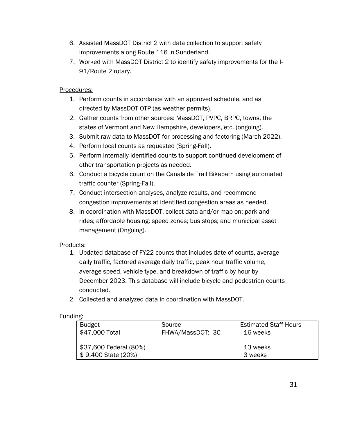- 6. Assisted MassDOT District 2 with data collection to support safety improvements along Route 116 in Sunderland.
- 7. Worked with MassDOT District 2 to identify safety improvements for the I-91/Route 2 rotary.

## Procedures:

- 1. Perform counts in accordance with an approved schedule, and as directed by MassDOT OTP (as weather permits).
- 2. Gather counts from other sources: MassDOT, PVPC, BRPC, towns, the states of Vermont and New Hampshire, developers, etc. (ongoing).
- 3. Submit raw data to MassDOT for processing and factoring (March 2022).
- 4. Perform local counts as requested (Spring-Fall).
- 5. Perform internally identified counts to support continued development of other transportation projects as needed.
- 6. Conduct a bicycle count on the Canalside Trail Bikepath using automated traffic counter (Spring-Fall).
- 7. Conduct intersection analyses, analyze results, and recommend congestion improvements at identified congestion areas as needed.
- 8. In coordination with MassDOT, collect data and/or map on: park and rides; affordable housing; speed zones; bus stops; and municipal asset management (Ongoing).

#### Products:

- 1. Updated database of FY22 counts that includes date of counts, average daily traffic, factored average daily traffic, peak hour traffic volume, average speed, vehicle type, and breakdown of traffic by hour by December 2023. This database will include bicycle and pedestrian counts conducted.
- 2. Collected and analyzed data in coordination with MassDOT.

#### Funding:

| <b>Budget</b>          | Source           | <b>Estimated Staff Hours</b> |
|------------------------|------------------|------------------------------|
| \$47,000 Total         | FHWA/MassDOT: 3C | 16 weeks                     |
|                        |                  |                              |
| \$37,600 Federal (80%) |                  | 13 weeks                     |
| \$9,400 State (20%)    |                  | 3 weeks                      |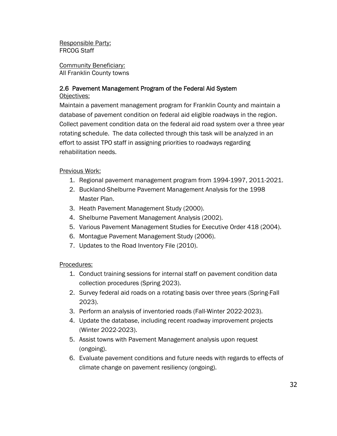Responsible Party: FRCOG Staff

Community Beneficiary: All Franklin County towns

# 2.6 Pavement Management Program of the Federal Aid System

Objectives:

Maintain a pavement management program for Franklin County and maintain a database of pavement condition on federal aid eligible roadways in the region. Collect pavement condition data on the federal aid road system over a three year rotating schedule. The data collected through this task will be analyzed in an effort to assist TPO staff in assigning priorities to roadways regarding rehabilitation needs.

## Previous Work:

- 1. Regional pavement management program from 1994-1997, 2011-2021.
- 2. Buckland-Shelburne Pavement Management Analysis for the 1998 Master Plan.
- 3. Heath Pavement Management Study (2000).
- 4. Shelburne Pavement Management Analysis (2002).
- 5. Various Pavement Management Studies for Executive Order 418 (2004).
- 6. Montague Pavement Management Study (2006).
- 7. Updates to the Road Inventory File (2010).

#### Procedures:

- 1. Conduct training sessions for internal staff on pavement condition data collection procedures (Spring 2023).
- 2. Survey federal aid roads on a rotating basis over three years (Spring-Fall 2023).
- 3. Perform an analysis of inventoried roads (Fall-Winter 2022-2023).
- 4. Update the database, including recent roadway improvement projects (Winter 2022-2023).
- 5. Assist towns with Pavement Management analysis upon request (ongoing).
- 6. Evaluate pavement conditions and future needs with regards to effects of climate change on pavement resiliency (ongoing).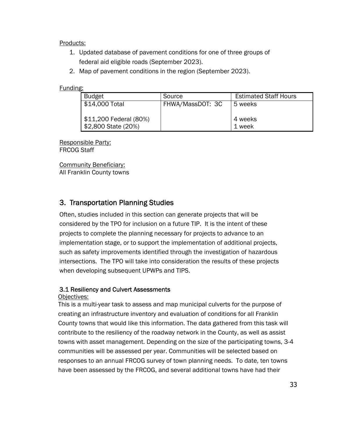Products:

- 1. Updated database of pavement conditions for one of three groups of federal aid eligible roads (September 2023).
- 2. Map of pavement conditions in the region (September 2023).

#### Funding:

| <b>Budget</b>                                              | Source           | <b>Estimated Staff Hours</b> |
|------------------------------------------------------------|------------------|------------------------------|
| \$14,000 Total                                             | FHWA/MassDOT: 3C | 5 weeks                      |
| S11,200 Federal (80%)<br>$\frac{1}{2}$ \$2,800 State (20%) |                  | 4 weeks<br>1 week            |

Responsible Party: FRCOG Staff

Community Beneficiary: All Franklin County towns

# 3. Transportation Planning Studies

Often, studies included in this section can generate projects that will be considered by the TPO for inclusion on a future TIP. It is the intent of these projects to complete the planning necessary for projects to advance to an implementation stage, or to support the implementation of additional projects, such as safety improvements identified through the investigation of hazardous intersections. The TPO will take into consideration the results of these projects when developing subsequent UPWPs and TIPS.

# 3.1 Resiliency and Culvert Assessments

#### Objectives:

This is a multi-year task to assess and map municipal culverts for the purpose of creating an infrastructure inventory and evaluation of conditions for all Franklin County towns that would like this information. The data gathered from this task will contribute to the resiliency of the roadway network in the County, as well as assist towns with asset management. Depending on the size of the participating towns, 3-4 communities will be assessed per year. Communities will be selected based on responses to an annual FRCOG survey of town planning needs. To date, ten towns have been assessed by the FRCOG, and several additional towns have had their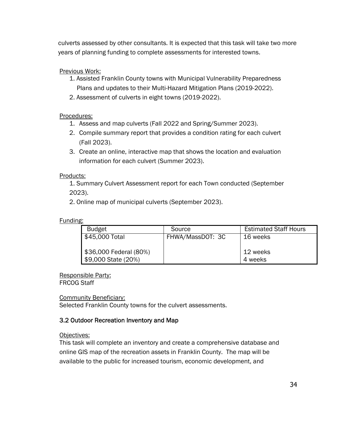culverts assessed by other consultants. It is expected that this task will take two more years of planning funding to complete assessments for interested towns.

# Previous Work:

- 1. Assisted Franklin County towns with Municipal Vulnerability Preparedness Plans and updates to their Multi-Hazard Mitigation Plans (2019-2022).
- 2. Assessment of culverts in eight towns (2019-2022).

# Procedures:

- 1. Assess and map culverts (Fall 2022 and Spring/Summer 2023).
- 2. Compile summary report that provides a condition rating for each culvert (Fall 2023).
- 3. Create an online, interactive map that shows the location and evaluation information for each culvert (Summer 2023).

# Products:

1. Summary Culvert Assessment report for each Town conducted (September 2023).

2. Online map of municipal culverts (September 2023).

# Funding:

| Budget                 | Source           | <b>Estimated Staff Hours</b> |
|------------------------|------------------|------------------------------|
| \$45,000 Total         | FHWA/MassDOT: 3C | 16 weeks                     |
|                        |                  |                              |
| \$36,000 Federal (80%) |                  | 12 weeks                     |
| \$9,000 State (20%)    |                  | 4 weeks                      |

Responsible Party: FRCOG Staff

Community Beneficiary:

Selected Franklin County towns for the culvert assessments.

# 3.2 Outdoor Recreation Inventory and Map

# Objectives:

This task will complete an inventory and create a comprehensive database and online GIS map of the recreation assets in Franklin County. The map will be available to the public for increased tourism, economic development, and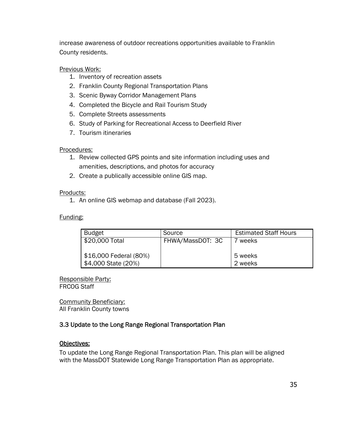increase awareness of outdoor recreations opportunities available to Franklin County residents.

## Previous Work:

- 1. Inventory of recreation assets
- 2. Franklin County Regional Transportation Plans
- 3. Scenic Byway Corridor Management Plans
- 4. Completed the Bicycle and Rail Tourism Study
- 5. Complete Streets assessments
- 6. Study of Parking for Recreational Access to Deerfield River
- 7. Tourism itineraries

#### Procedures:

- 1. Review collected GPS points and site information including uses and amenities, descriptions, and photos for accuracy
- 2. Create a publically accessible online GIS map.

#### Products:

1. An online GIS webmap and database (Fall 2023).

## Funding:

| <b>Budget</b>          | Source           | <b>Estimated Staff Hours</b> |
|------------------------|------------------|------------------------------|
| \$20,000 Total         | FHWA/MassDOT: 3C | weeks                        |
|                        |                  |                              |
| \$16,000 Federal (80%) |                  | 5 weeks                      |
| \$4,000 State (20%)    |                  | 2 weeks                      |

Responsible Party: FRCOG Staff

Community Beneficiary: All Franklin County towns

# 3.3 Update to the Long Range Regional Transportation Plan

# Objectives:

To update the Long Range Regional Transportation Plan. This plan will be aligned with the MassDOT Statewide Long Range Transportation Plan as appropriate.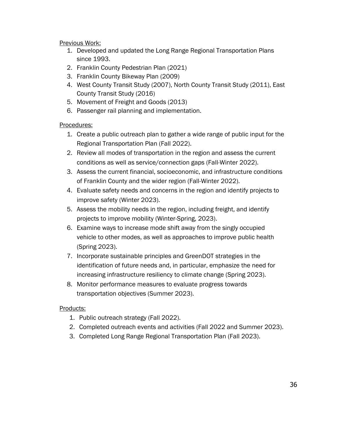#### Previous Work:

- 1. Developed and updated the Long Range Regional Transportation Plans since 1993.
- 2. Franklin County Pedestrian Plan (2021)
- 3. Franklin County Bikeway Plan (2009)
- 4. West County Transit Study (2007), North County Transit Study (2011), East County Transit Study (2016)
- 5. Movement of Freight and Goods (2013)
- 6. Passenger rail planning and implementation.

#### Procedures:

- 1. Create a public outreach plan to gather a wide range of public input for the Regional Transportation Plan (Fall 2022).
- 2. Review all modes of transportation in the region and assess the current conditions as well as service/connection gaps (Fall-Winter 2022).
- 3. Assess the current financial, socioeconomic, and infrastructure conditions of Franklin County and the wider region (Fall-Winter 2022).
- 4. Evaluate safety needs and concerns in the region and identify projects to improve safety (Winter 2023).
- 5. Assess the mobility needs in the region, including freight, and identify projects to improve mobility (Winter-Spring, 2023).
- 6. Examine ways to increase mode shift away from the singly occupied vehicle to other modes, as well as approaches to improve public health (Spring 2023).
- 7. Incorporate sustainable principles and GreenDOT strategies in the identification of future needs and, in particular, emphasize the need for increasing infrastructure resiliency to climate change (Spring 2023).
- 8. Monitor performance measures to evaluate progress towards transportation objectives (Summer 2023).

#### Products:

- 1. Public outreach strategy (Fall 2022).
- 2. Completed outreach events and activities (Fall 2022 and Summer 2023).
- 3. Completed Long Range Regional Transportation Plan (Fall 2023).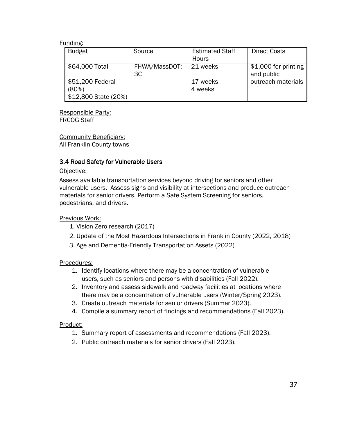| <b>Budget</b>                                     | Source              | <b>Estimated Staff</b><br><b>Hours</b> | <b>Direct Costs</b>                |
|---------------------------------------------------|---------------------|----------------------------------------|------------------------------------|
| \$64,000 Total                                    | FHWA/MassDOT:<br>3C | 21 weeks                               | \$1,000 for printing<br>and public |
| \$51,200 Federal<br>(80%)<br>\$12,800 State (20%) |                     | 17 weeks<br>4 weeks                    | outreach materials                 |

Responsible Party: FRCOG Staff

Community Beneficiary: All Franklin County towns

## 3.4 Road Safety for Vulnerable Users

#### Objective:

Assess available transportation services beyond driving for seniors and other vulnerable users. Assess signs and visibility at intersections and produce outreach materials for senior drivers. Perform a Safe System Screening for seniors, pedestrians, and drivers.

#### Previous Work:

- 1. Vision Zero research (2017)
- 2. Update of the Most Hazardous Intersections in Franklin County (2022, 2018)
- 3. Age and Dementia-Friendly Transportation Assets (2022)

#### Procedures:

- 1. Identify locations where there may be a concentration of vulnerable users, such as seniors and persons with disabilities (Fall 2022).
- 2. Inventory and assess sidewalk and roadway facilities at locations where there may be a concentration of vulnerable users (Winter/Spring 2023).
- 3. Create outreach materials for senior drivers (Summer 2023).
- 4. Compile a summary report of findings and recommendations (Fall 2023).

#### Product:

- 1. Summary report of assessments and recommendations (Fall 2023).
- 2. Public outreach materials for senior drivers (Fall 2023).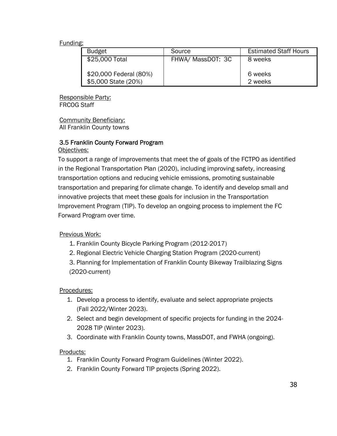| <b>Budget</b>                                 | Source            | <b>Estimated Staff Hours</b> |
|-----------------------------------------------|-------------------|------------------------------|
| \$25,000 Total                                | FHWA/ MassDOT: 3C | 8 weeks                      |
| \$20,000 Federal (80%)<br>\$5,000 State (20%) |                   | 6 weeks<br>2 weeks           |

Responsible Party: FRCOG Staff

Community Beneficiary: All Franklin County towns

#### 3.5 Franklin County Forward Program Objectives:

To support a range of improvements that meet the of goals of the FCTPO as identified in the Regional Transportation Plan (2020), including improving safety, increasing transportation options and reducing vehicle emissions, promoting sustainable transportation and preparing for climate change. To identify and develop small and innovative projects that meet these goals for inclusion in the Transportation Improvement Program (TIP). To develop an ongoing process to implement the FC Forward Program over time.

# Previous Work:

- 1. Franklin County Bicycle Parking Program (2012-2017)
- 2. Regional Electric Vehicle Charging Station Program (2020-current)

3. Planning for Implementation of Franklin County Bikeway Trailblazing Signs (2020-current)

#### Procedures:

- 1. Develop a process to identify, evaluate and select appropriate projects (Fall 2022/Winter 2023).
- 2. Select and begin development of specific projects for funding in the 2024- 2028 TIP (Winter 2023).
- 3. Coordinate with Franklin County towns, MassDOT, and FWHA (ongoing).

#### Products:

- 1. Franklin County Forward Program Guidelines (Winter 2022).
- 2. Franklin County Forward TIP projects (Spring 2022).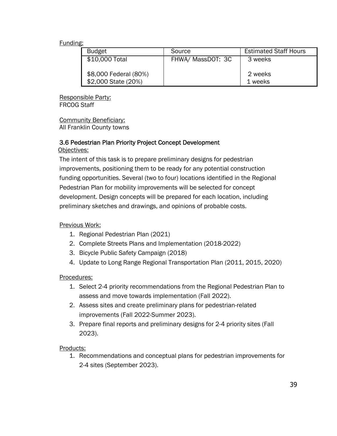| <b>Budget</b>                                | Source            | <b>Estimated Staff Hours</b> |
|----------------------------------------------|-------------------|------------------------------|
| \$10,000 Total                               | FHWA/ MassDOT: 3C | 3 weeks                      |
| \$8,000 Federal (80%)<br>\$2,000 State (20%) |                   | 2 weeks<br>1 weeks           |

Responsible Party: FRCOG Staff

Community Beneficiary: All Franklin County towns

#### 3.6 Pedestrian Plan Priority Project Concept Development Objectives:

The intent of this task is to prepare preliminary designs for pedestrian improvements, positioning them to be ready for any potential construction funding opportunities. Several (two to four) locations identified in the Regional Pedestrian Plan for mobility improvements will be selected for concept development. Design concepts will be prepared for each location, including preliminary sketches and drawings, and opinions of probable costs.

#### Previous Work:

- 1. Regional Pedestrian Plan (2021)
- 2. Complete Streets Plans and Implementation (2018-2022)
- 3. Bicycle Public Safety Campaign (2018)
- 4. Update to Long Range Regional Transportation Plan (2011, 2015, 2020)

#### Procedures:

- 1. Select 2-4 priority recommendations from the Regional Pedestrian Plan to assess and move towards implementation (Fall 2022).
- 2. Assess sites and create preliminary plans for pedestrian-related improvements (Fall 2022-Summer 2023).
- 3. Prepare final reports and preliminary designs for 2-4 priority sites (Fall 2023).

#### Products:

1. Recommendations and conceptual plans for pedestrian improvements for 2-4 sites (September 2023).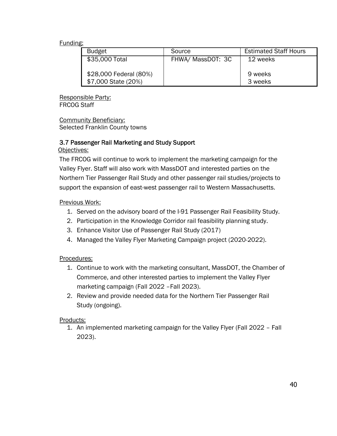| <b>Budget</b>                                 | Source            | <b>Estimated Staff Hours</b> |
|-----------------------------------------------|-------------------|------------------------------|
| \$35,000 Total                                | FHWA/ MassDOT: 3C | 12 weeks                     |
| \$28,000 Federal (80%)<br>\$7,000 State (20%) |                   | 9 weeks<br>3 weeks           |

Responsible Party: FRCOG Staff

Community Beneficiary: Selected Franklin County towns

# 3.7 Passenger Rail Marketing and Study Support

#### Objectives:

The FRCOG will continue to work to implement the marketing campaign for the Valley Flyer. Staff will also work with MassDOT and interested parties on the Northern Tier Passenger Rail Study and other passenger rail studies/projects to support the expansion of east-west passenger rail to Western Massachusetts.

#### Previous Work:

- 1. Served on the advisory board of the I-91 Passenger Rail Feasibility Study.
- 2. Participation in the Knowledge Corridor rail feasibility planning study.
- 3. Enhance Visitor Use of Passenger Rail Study (2017)
- 4. Managed the Valley Flyer Marketing Campaign project (2020-2022).

#### Procedures:

- 1. Continue to work with the marketing consultant, MassDOT, the Chamber of Commerce, and other interested parties to implement the Valley Flyer marketing campaign (Fall 2022 –Fall 2023).
- 2. Review and provide needed data for the Northern Tier Passenger Rail Study (ongoing).

#### Products:

1. An implemented marketing campaign for the Valley Flyer (Fall 2022 – Fall 2023).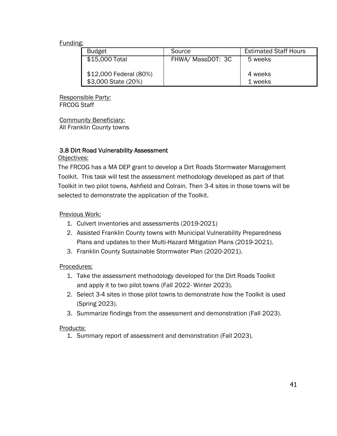| <b>Budget</b>                                 | Source            | <b>Estimated Staff Hours</b> |
|-----------------------------------------------|-------------------|------------------------------|
| \$15,000 Total                                | FHWA/ MassDOT: 3C | 5 weeks                      |
| \$12,000 Federal (80%)<br>\$3,000 State (20%) |                   | 4 weeks<br>1 weeks           |

Responsible Party: FRCOG Staff

Community Beneficiary: All Franklin County towns

#### 3.8 Dirt Road Vulnerability Assessment

Objectives:

The FRCOG has a MA DEP grant to develop a Dirt Roads Stormwater Management Toolkit. This task will test the assessment methodology developed as part of that Toolkit in two pilot towns, Ashfield and Colrain. Then 3-4 sites in those towns will be selected to demonstrate the application of the Toolkit.

#### Previous Work:

- 1. Culvert inventories and assessments (2019-2021)
- 2. Assisted Franklin County towns with Municipal Vulnerability Preparedness Plans and updates to their Multi-Hazard Mitigation Plans (2019-2021).
- 3. Franklin County Sustainable Stormwater Plan (2020-2021).

#### Procedures:

- 1. Take the assessment methodology developed for the Dirt Roads Toolkit and apply it to two pilot towns (Fall 2022- Winter 2023).
- 2. Select 3-4 sites in those pilot towns to demonstrate how the Toolkit is used (Spring 2023).
- 3. Summarize findings from the assessment and demonstration (Fall 2023).

#### Products:

1. Summary report of assessment and demonstration (Fall 2023).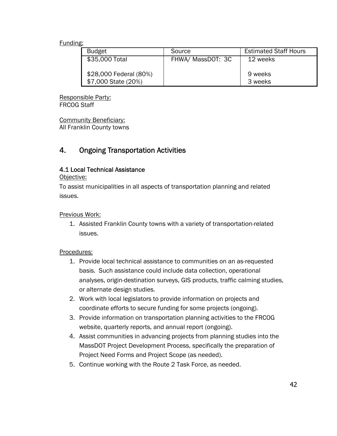| <b>Budget</b>                                 | Source            | <b>Estimated Staff Hours</b> |
|-----------------------------------------------|-------------------|------------------------------|
| \$35,000 Total                                | FHWA/ MassDOT: 3C | 12 weeks                     |
| \$28,000 Federal (80%)<br>\$7,000 State (20%) |                   | 9 weeks<br>3 weeks           |

Responsible Party: FRCOG Staff

Community Beneficiary: All Franklin County towns

# 4. Ongoing Transportation Activities

## 4.1 Local Technical Assistance

Objective:

To assist municipalities in all aspects of transportation planning and related issues.

#### Previous Work:

1. Assisted Franklin County towns with a variety of transportation-related issues.

#### Procedures:

- 1. Provide local technical assistance to communities on an as-requested basis. Such assistance could include data collection, operational analyses, origin-destination surveys, GIS products, traffic calming studies, or alternate design studies.
- 2. Work with local legislators to provide information on projects and coordinate efforts to secure funding for some projects (ongoing).
- 3. Provide information on transportation planning activities to the FRCOG website, quarterly reports, and annual report (ongoing).
- 4. Assist communities in advancing projects from planning studies into the MassDOT Project Development Process, specifically the preparation of Project Need Forms and Project Scope (as needed).
- 5. Continue working with the Route 2 Task Force, as needed.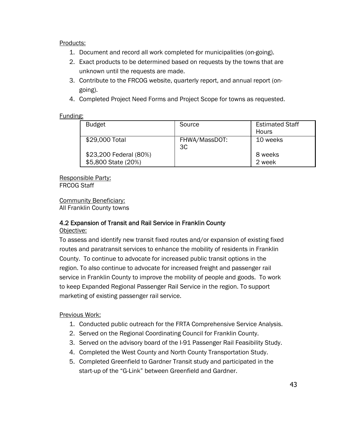#### Products:

- 1. Document and record all work completed for municipalities (on-going).
- 2. Exact products to be determined based on requests by the towns that are unknown until the requests are made.
- 3. Contribute to the FRCOG website, quarterly report, and annual report (ongoing).
- 4. Completed Project Need Forms and Project Scope for towns as requested.

## Funding:

| <b>Budget</b>          | Source        | <b>Estimated Staff</b> |
|------------------------|---------------|------------------------|
|                        |               | Hours                  |
| \$29,000 Total         | FHWA/MassDOT: | 10 weeks               |
|                        | 3C            |                        |
| \$23,200 Federal (80%) |               | 8 weeks                |
| \$5,800 State (20%)    |               | 2 week                 |
|                        |               |                        |

#### Responsible Party: FRCOG Staff

Community Beneficiary: All Franklin County towns

# 4.2 Expansion of Transit and Rail Service in Franklin County

Objective:

To assess and identify new transit fixed routes and/or expansion of existing fixed routes and paratransit services to enhance the mobility of residents in Franklin County. To continue to advocate for increased public transit options in the region. To also continue to advocate for increased freight and passenger rail service in Franklin County to improve the mobility of people and goods. To work to keep Expanded Regional Passenger Rail Service in the region. To support marketing of existing passenger rail service.

# Previous Work:

- 1. Conducted public outreach for the FRTA Comprehensive Service Analysis.
- 2. Served on the Regional Coordinating Council for Franklin County.
- 3. Served on the advisory board of the I-91 Passenger Rail Feasibility Study.
- 4. Completed the West County and North County Transportation Study.
- 5. Completed Greenfield to Gardner Transit study and participated in the start-up of the "G-Link" between Greenfield and Gardner.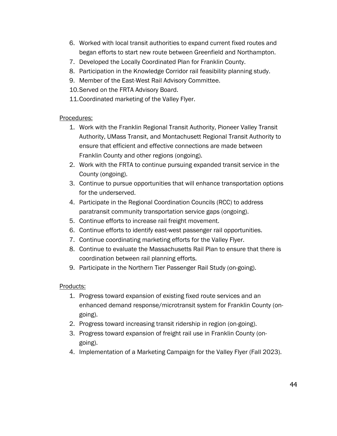- 6. Worked with local transit authorities to expand current fixed routes and began efforts to start new route between Greenfield and Northampton.
- 7. Developed the Locally Coordinated Plan for Franklin County.
- 8. Participation in the Knowledge Corridor rail feasibility planning study.
- 9. Member of the East-West Rail Advisory Committee.
- 10.Served on the FRTA Advisory Board.
- 11.Coordinated marketing of the Valley Flyer.

# Procedures:

- 1. Work with the Franklin Regional Transit Authority, Pioneer Valley Transit Authority, UMass Transit, and Montachusett Regional Transit Authority to ensure that efficient and effective connections are made between Franklin County and other regions (ongoing).
- 2. Work with the FRTA to continue pursuing expanded transit service in the County (ongoing).
- 3. Continue to pursue opportunities that will enhance transportation options for the underserved.
- 4. Participate in the Regional Coordination Councils (RCC) to address paratransit community transportation service gaps (ongoing).
- 5. Continue efforts to increase rail freight movement.
- 6. Continue efforts to identify east-west passenger rail opportunities.
- 7. Continue coordinating marketing efforts for the Valley Flyer.
- 8. Continue to evaluate the Massachusetts Rail Plan to ensure that there is coordination between rail planning efforts.
- 9. Participate in the Northern Tier Passenger Rail Study (on-going).

# Products:

- 1. Progress toward expansion of existing fixed route services and an enhanced demand response/microtransit system for Franklin County (ongoing).
- 2. Progress toward increasing transit ridership in region (on-going).
- 3. Progress toward expansion of freight rail use in Franklin County (ongoing).
- 4. Implementation of a Marketing Campaign for the Valley Flyer (Fall 2023).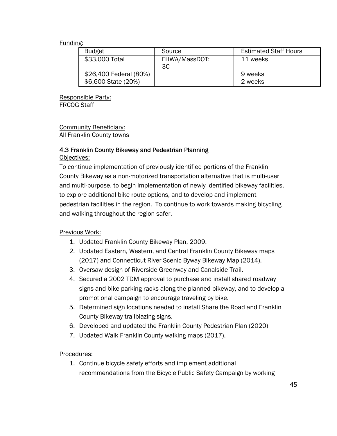| <b>Budget</b>          | Source              | <b>Estimated Staff Hours</b> |
|------------------------|---------------------|------------------------------|
| \$33,000 Total         | FHWA/MassDOT:<br>3C | 11 weeks                     |
| \$26,400 Federal (80%) |                     | 9 weeks                      |
| \$6,600 State (20%)    |                     | 2 weeks                      |

Responsible Party: FRCOG Staff

Community Beneficiary: All Franklin County towns

## 4.3 Franklin County Bikeway and Pedestrian Planning

Objectives:

To continue implementation of previously identified portions of the Franklin County Bikeway as a non-motorized transportation alternative that is multi-user and multi-purpose, to begin implementation of newly identified bikeway facilities, to explore additional bike route options, and to develop and implement pedestrian facilities in the region. To continue to work towards making bicycling and walking throughout the region safer.

#### Previous Work:

- 1. Updated Franklin County Bikeway Plan, 2009.
- 2. Updated Eastern, Western, and Central Franklin County Bikeway maps (2017) and Connecticut River Scenic Byway Bikeway Map (2014).
- 3. Oversaw design of Riverside Greenway and Canalside Trail.
- 4. Secured a 2002 TDM approval to purchase and install shared roadway signs and bike parking racks along the planned bikeway, and to develop a promotional campaign to encourage traveling by bike.
- 5. Determined sign locations needed to install Share the Road and Franklin County Bikeway trailblazing signs.
- 6. Developed and updated the Franklin County Pedestrian Plan (2020)
- 7. Updated Walk Franklin County walking maps (2017).

#### Procedures:

1. Continue bicycle safety efforts and implement additional recommendations from the Bicycle Public Safety Campaign by working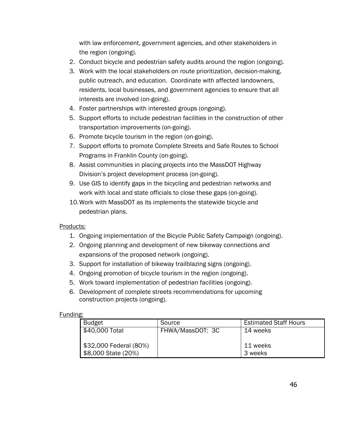with law enforcement, government agencies, and other stakeholders in the region (ongoing).

- 2. Conduct bicycle and pedestrian safety audits around the region (ongoing).
- 3. Work with the local stakeholders on route prioritization, decision-making, public outreach, and education. Coordinate with affected landowners, residents, local businesses, and government agencies to ensure that all interests are involved (on-going).
- 4. Foster partnerships with interested groups (ongoing).
- 5. Support efforts to include pedestrian facilities in the construction of other transportation improvements (on-going).
- 6. Promote bicycle tourism in the region (on-going).
- 7. Support efforts to promote Complete Streets and Safe Routes to School Programs in Franklin County (on-going).
- 8. Assist communities in placing projects into the MassDOT Highway Division's project development process (on-going).
- 9. Use GIS to identify gaps in the bicycling and pedestrian networks and work with local and state officials to close these gaps (on-going).
- 10.Work with MassDOT as its implements the statewide bicycle and pedestrian plans.

#### Products:

- 1. Ongoing implementation of the Bicycle Public Safety Campaign (ongoing).
- 2. Ongoing planning and development of new bikeway connections and expansions of the proposed network (ongoing).
- 3. Support for installation of bikeway trailblazing signs (ongoing).
- 4. Ongoing promotion of bicycle tourism in the region (ongoing).
- 5. Work toward implementation of pedestrian facilities (ongoing).
- 6. Development of complete streets recommendations for upcoming construction projects (ongoing).

#### Funding:

| <b>Budget</b>          | Source           | <b>Estimated Staff Hours</b> |
|------------------------|------------------|------------------------------|
| \$40,000 Total         | FHWA/MassDOT: 3C | 14 weeks                     |
|                        |                  |                              |
| \$32,000 Federal (80%) |                  | 11 weeks                     |
| \$8,000 State (20%)    |                  | 3 weeks                      |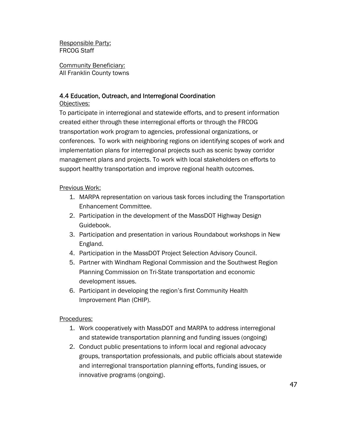Responsible Party: FRCOG Staff

Community Beneficiary: All Franklin County towns

# 4.4 Education, Outreach, and Interregional Coordination

Objectives:

To participate in interregional and statewide efforts, and to present information created either through these interregional efforts or through the FRCOG transportation work program to agencies, professional organizations, or conferences. To work with neighboring regions on identifying scopes of work and implementation plans for interregional projects such as scenic byway corridor management plans and projects. To work with local stakeholders on efforts to support healthy transportation and improve regional health outcomes.

# Previous Work:

- 1. MARPA representation on various task forces including the Transportation Enhancement Committee.
- 2. Participation in the development of the MassDOT Highway Design Guidebook.
- 3. Participation and presentation in various Roundabout workshops in New England.
- 4. Participation in the MassDOT Project Selection Advisory Council.
- 5. Partner with Windham Regional Commission and the Southwest Region Planning Commission on Tri-State transportation and economic development issues.
- 6. Participant in developing the region's first Community Health Improvement Plan (CHIP).

# Procedures:

- 1. Work cooperatively with MassDOT and MARPA to address interregional and statewide transportation planning and funding issues (ongoing)
- 2. Conduct public presentations to inform local and regional advocacy groups, transportation professionals, and public officials about statewide and interregional transportation planning efforts, funding issues, or innovative programs (ongoing).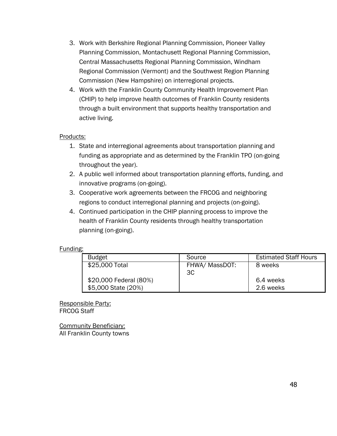- 3. Work with Berkshire Regional Planning Commission, Pioneer Valley Planning Commission, Montachusett Regional Planning Commission, Central Massachusetts Regional Planning Commission, Windham Regional Commission (Vermont) and the Southwest Region Planning Commission (New Hampshire) on interregional projects.
- 4. Work with the Franklin County Community Health Improvement Plan (CHIP) to help improve health outcomes of Franklin County residents through a built environment that supports healthy transportation and active living.

#### Products:

- 1. State and interregional agreements about transportation planning and funding as appropriate and as determined by the Franklin TPO (on-going throughout the year).
- 2. A public well informed about transportation planning efforts, funding, and innovative programs (on-going).
- 3. Cooperative work agreements between the FRCOG and neighboring regions to conduct interregional planning and projects (on-going).
- 4. Continued participation in the CHIP planning process to improve the health of Franklin County residents through healthy transportation planning (on-going).

#### Funding:

| <b>Budget</b>                                 | Source               | <b>Estimated Staff Hours</b> |
|-----------------------------------------------|----------------------|------------------------------|
| \$25,000 Total                                | FHWA/ MassDOT:<br>3C | 8 weeks                      |
| \$20,000 Federal (80%)<br>\$5,000 State (20%) |                      | 6.4 weeks<br>2.6 weeks       |

Responsible Party: FRCOG Staff

Community Beneficiary: All Franklin County towns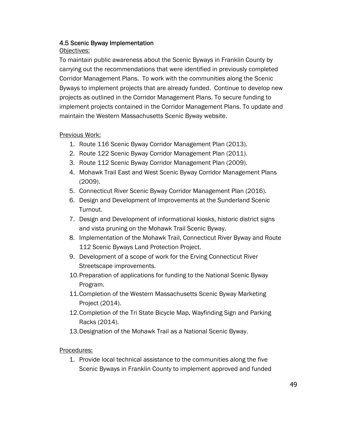# 4.5 Scenic Byway Implementation

#### Objectives:

To maintain public awareness about the Scenic Byways in Franklin County by carrying out the recommendations that were identified in previously completed Corridor Management Plans. To work with the communities along the Scenic Byways to implement projects that are already funded. Continue to develop new projects as outlined in the Corridor Management Plans. To secure funding to implement projects contained in the Corridor Management Plans. To update and maintain the Western Massachusetts Scenic Byway website.

## Previous Work:

- 1. Route 116 Scenic Byway Corridor Management Plan (2013).
- 2. Route 122 Scenic Byway Corridor Management Plan (2011).
- 3. Route 112 Scenic Byway Corridor Management Plan (2009).
- 4. Mohawk Trail East and West Scenic Byway Corridor Management Plans (2009).
- 5. Connecticut River Scenic Byway Corridor Management Plan (2016).
- 6. Design and Development of Improvements at the Sunderland Scenic Turnout.
- 7. Design and Development of informational kiosks, historic district signs and vista pruning on the Mohawk Trail Scenic Byway.
- 8. Implementation of the Mohawk Trail, Connecticut River Byway and Route 112 Scenic Byways Land Protection Project.
- 9. Development of a scope of work for the Erving Connecticut River Streetscape improvements.
- 10.Preparation of applications for funding to the National Scenic Byway Program.
- 11.Completion of the Western Massachusetts Scenic Byway Marketing Project (2014).
- 12.Completion of the Tri State Bicycle Map, Wayfinding Sign and Parking Racks (2014).
- 13.Designation of the Mohawk Trail as a National Scenic Byway.

#### Procedures:

1. Provide local technical assistance to the communities along the five Scenic Byways in Franklin County to implement approved and funded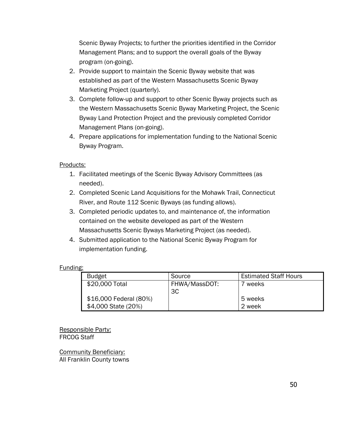Scenic Byway Projects; to further the priorities identified in the Corridor Management Plans; and to support the overall goals of the Byway program (on-going).

- 2. Provide support to maintain the Scenic Byway website that was established as part of the Western Massachusetts Scenic Byway Marketing Project (quarterly).
- 3. Complete follow-up and support to other Scenic Byway projects such as the Western Massachusetts Scenic Byway Marketing Project, the Scenic Byway Land Protection Project and the previously completed Corridor Management Plans (on-going).
- 4. Prepare applications for implementation funding to the National Scenic Byway Program.

#### Products:

- 1. Facilitated meetings of the Scenic Byway Advisory Committees (as needed).
- 2. Completed Scenic Land Acquisitions for the Mohawk Trail, Connecticut River, and Route 112 Scenic Byways (as funding allows).
- 3. Completed periodic updates to, and maintenance of, the information contained on the website developed as part of the Western Massachusetts Scenic Byways Marketing Project (as needed).
- 4. Submitted application to the National Scenic Byway Program for implementation funding.

#### Funding:

| <b>Budget</b>          | Source        | <b>Estimated Staff Hours</b> |
|------------------------|---------------|------------------------------|
| \$20,000 Total         | FHWA/MassDOT: | weeks                        |
|                        | 3C            |                              |
| \$16,000 Federal (80%) |               | 5 weeks                      |
| \$4,000 State (20%)    |               | 2 week                       |

Responsible Party: FRCOG Staff

Community Beneficiary: All Franklin County towns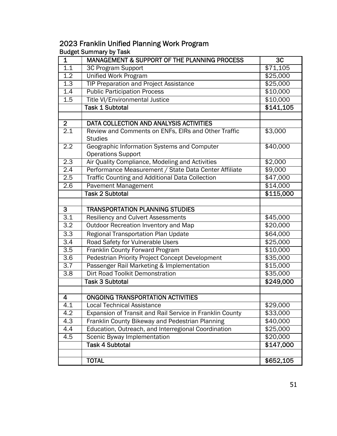# 2023 Franklin Unified Planning Work Program Budget Summary by Task

| $\mathbf{1}$     | MANAGEMENT & SUPPORT OF THE PLANNING PROCESS                          | $\overline{3C}$ |
|------------------|-----------------------------------------------------------------------|-----------------|
| 1.1              | 3C Program Support                                                    | \$71,105        |
| 1.2              | <b>Unified Work Program</b>                                           | \$25,000        |
| 1.3              | <b>TIP Preparation and Project Assistance</b>                         | \$25,000        |
| 1.4              | <b>Public Participation Process</b>                                   | \$10,000        |
| 1.5              | Title VI/Environmental Justice                                        | \$10,000        |
|                  | Task 1 Subtotal                                                       | \$141,105       |
|                  |                                                                       |                 |
| $\overline{2}$   | <b>DATA COLLECTION AND ANALYSIS ACTIVITIES</b>                        |                 |
| 2.1              | Review and Comments on ENFs, EIRs and Other Traffic<br><b>Studies</b> | \$3,000         |
| 2.2              | Geographic Information Systems and Computer                           | \$40,000        |
|                  | <b>Operations Support</b>                                             |                 |
| $\overline{2.3}$ | Air Quality Compliance, Modeling and Activities                       | \$2,000         |
| $\overline{2.4}$ | Performance Measurement / State Data Center Affiliate                 | \$9,000         |
| 2.5              | <b>Traffic Counting and Additional Data Collection</b>                | \$47,000        |
| 2.6              | <b>Pavement Management</b>                                            | \$14,000        |
|                  | <b>Task 2 Subtotal</b>                                                | \$115,000       |
|                  |                                                                       |                 |
| 3                | <b>TRANSPORTATION PLANNING STUDIES</b>                                |                 |
| $\overline{3.1}$ | <b>Resiliency and Culvert Assessments</b>                             | \$45,000        |
| $\overline{3.2}$ | Outdoor Recreation Inventory and Map                                  | \$20,000        |
| $\overline{3.3}$ | <b>Regional Transportation Plan Update</b>                            | \$64,000        |
| $\overline{3.4}$ | Road Safety for Vulnerable Users                                      | \$25,000        |
| 3.5              | Franklin County Forward Program                                       | \$10,000        |
| 3.6              | Pedestrian Priority Project Concept Development                       | \$35,000        |
| 3.7              | Passenger Rail Marketing & Implementation                             | \$15,000        |
| $\overline{3.8}$ | <b>Dirt Road Toolkit Demonstration</b>                                | \$35,000        |
|                  | <b>Task 3 Subtotal</b>                                                | \$249,000       |
|                  |                                                                       |                 |
| 4                | <b>ONGOING TRANSPORTATION ACTIVITIES</b>                              |                 |
| 4.1              | <b>Local Technical Assistance</b>                                     | \$29,000        |
| 4.2              | Expansion of Transit and Rail Service in Franklin County              | \$33,000        |
| $\overline{4.3}$ | Franklin County Bikeway and Pedestrian Planning                       | \$40,000        |
| 4.4              | Education, Outreach, and Interregional Coordination                   | \$25,000        |
| 4.5              | Scenic Byway Implementation                                           | \$20,000        |
|                  | <b>Task 4 Subtotal</b>                                                | \$147,000       |
|                  |                                                                       |                 |
|                  | <b>TOTAL</b>                                                          | \$652,105       |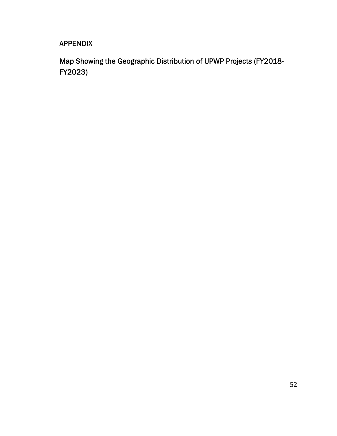# APPENDIX

Map Showing the Geographic Distribution of UPWP Projects (FY2018- FY2023)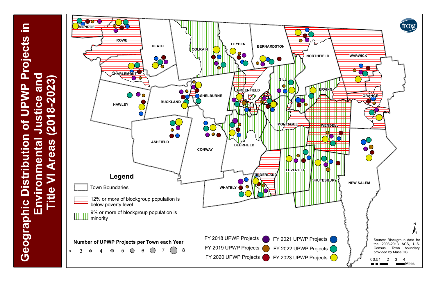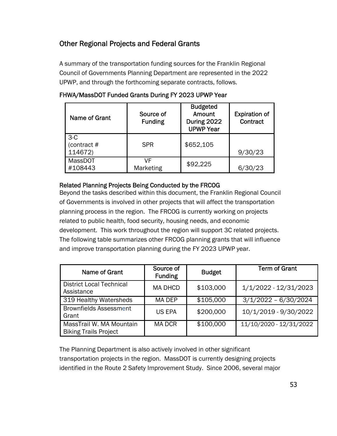# Other Regional Projects and Federal Grants

A summary of the transportation funding sources for the Franklin Regional Council of Governments Planning Department are represented in the 2022 UPWP, and through the forthcoming separate contracts, follows.

| Name of Grant                   | Source of<br><b>Funding</b> | <b>Budgeted</b><br>Amount<br>During 2022<br><b>UPWP Year</b> | <b>Expiration of</b><br>Contract |
|---------------------------------|-----------------------------|--------------------------------------------------------------|----------------------------------|
| $3-C$<br>(contract #<br>114672) | <b>SPR</b>                  | \$652,105                                                    | 9/30/23                          |
| <b>MassDOT</b><br>#108443       | VF<br>Marketing             | \$92,225                                                     | /23                              |

## FHWA/MassDOT Funded Grants During FY 2023 UPWP Year

## Related Planning Projects Being Conducted by the FRCOG

Beyond the tasks described within this document, the Franklin Regional Council of Governments is involved in other projects that will affect the transportation planning process in the region. The FRCOG is currently working on projects related to public health, food security, housing needs, and economic development. This work throughout the region will support 3C related projects. The following table summarizes other FRCOG planning grants that will influence and improve transportation planning during the FY 2023 UPWP year.

| Name of Grant                                            | Source of<br><b>Funding</b> | <b>Budget</b> | <b>Term of Grant</b>    |
|----------------------------------------------------------|-----------------------------|---------------|-------------------------|
| <b>District Local Technical</b><br>Assistance            | <b>MA DHCD</b>              | \$103,000     | 1/1/2022 - 12/31/2023   |
| 319 Healthy Watersheds                                   | MA DEP                      | \$105,000     | $3/1/2022 - 6/30/2024$  |
| <b>Brownfields Assessment</b><br>Grant                   | <b>US EPA</b>               | \$200,000     | 10/1/2019 - 9/30/2022   |
| MassTrail W. MA Mountain<br><b>Biking Trails Project</b> | <b>MA DCR</b>               | \$100,000     | 11/10/2020 - 12/31/2022 |

The Planning Department is also actively involved in other significant transportation projects in the region. MassDOT is currently designing projects identified in the Route 2 Safety Improvement Study. Since 2006, several major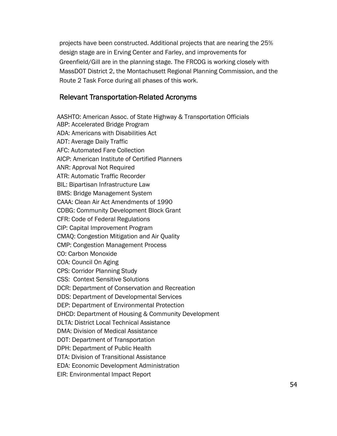projects have been constructed. Additional projects that are nearing the 25% design stage are in Erving Center and Farley, and improvements for Greenfield/Gill are in the planning stage. The FRCOG is working closely with MassDOT District 2, the Montachusett Regional Planning Commission, and the Route 2 Task Force during all phases of this work.

## Relevant Transportation-Related Acronyms

AASHTO: American Assoc. of State Highway & Transportation Officials ABP: Accelerated Bridge Program ADA: Americans with Disabilities Act ADT: Average Daily Traffic AFC: Automated Fare Collection AICP: American Institute of Certified Planners ANR: Approval Not Required ATR: Automatic Traffic Recorder BIL: Bipartisan Infrastructure Law BMS: Bridge Management System CAAA: Clean Air Act Amendments of 1990 CDBG: Community Development Block Grant CFR: Code of Federal Regulations CIP: Capital Improvement Program CMAQ: Congestion Mitigation and Air Quality CMP: Congestion Management Process CO: Carbon Monoxide COA: Council On Aging CPS: Corridor Planning Study CSS: Context Sensitive Solutions DCR: Department of Conservation and Recreation DDS: Department of Developmental Services DEP: Department of Environmental Protection DHCD: Department of Housing & Community Development DLTA: District Local Technical Assistance DMA: Division of Medical Assistance DOT: Department of Transportation DPH: Department of Public Health DTA: Division of Transitional Assistance EDA: Economic Development Administration EIR: Environmental Impact Report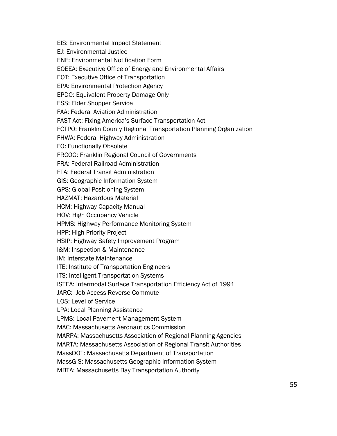EIS: Environmental Impact Statement EJ: Environmental Justice ENF: Environmental Notification Form EOEEA: Executive Office of Energy and Environmental Affairs EOT: Executive Office of Transportation EPA: Environmental Protection Agency EPDO: Equivalent Property Damage Only ESS: Elder Shopper Service FAA: Federal Aviation Administration FAST Act: Fixing America's Surface Transportation Act FCTPO: Franklin County Regional Transportation Planning Organization FHWA: Federal Highway Administration FO: Functionally Obsolete FRCOG: Franklin Regional Council of Governments FRA: Federal Railroad Administration FTA: Federal Transit Administration GIS: Geographic Information System GPS: Global Positioning System HAZMAT: Hazardous Material HCM: Highway Capacity Manual HOV: High Occupancy Vehicle HPMS: Highway Performance Monitoring System HPP: High Priority Project HSIP: Highway Safety Improvement Program I&M: Inspection & Maintenance IM: Interstate Maintenance ITE: Institute of Transportation Engineers ITS: Intelligent Transportation Systems ISTEA: Intermodal Surface Transportation Efficiency Act of 1991 JARC: Job Access Reverse Commute LOS: Level of Service LPA: Local Planning Assistance LPMS: Local Pavement Management System MAC: Massachusetts Aeronautics Commission MARPA: Massachusetts Association of Regional Planning Agencies MARTA: Massachusetts Association of Regional Transit Authorities MassDOT: Massachusetts Department of Transportation MassGIS: Massachusetts Geographic Information System MBTA: Massachusetts Bay Transportation Authority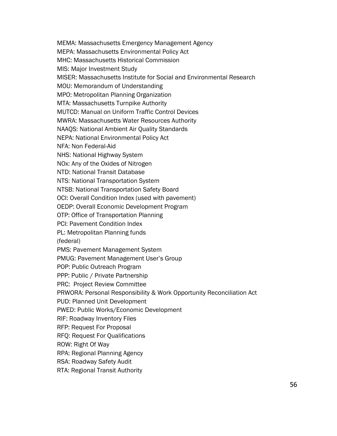MEMA: Massachusetts Emergency Management Agency

MEPA: Massachusetts Environmental Policy Act

MHC: Massachusetts Historical Commission

MIS: Major Investment Study

MISER: Massachusetts Institute for Social and Environmental Research

MOU: Memorandum of Understanding

MPO: Metropolitan Planning Organization

MTA: Massachusetts Turnpike Authority

MUTCD: Manual on Uniform Traffic Control Devices

MWRA: Massachusetts Water Resources Authority

NAAQS: National Ambient Air Quality Standards

NEPA: National Environmental Policy Act

NFA: Non Federal-Aid

NHS: National Highway System

NOx: Any of the Oxides of Nitrogen

NTD: National Transit Database

NTS: National Transportation System

NTSB: National Transportation Safety Board

OCI: Overall Condition Index (used with pavement)

OEDP: Overall Economic Development Program

OTP: Office of Transportation Planning

PCI: Pavement Condition Index

PL: Metropolitan Planning funds

(federal)

PMS: Pavement Management System

PMUG: Pavement Management User's Group

POP: Public Outreach Program

PPP: Public / Private Partnership

PRC: Project Review Committee

PRWORA: Personal Responsibility & Work Opportunity Reconciliation Act

PUD: Planned Unit Development

PWED: Public Works/Economic Development

RIF: Roadway Inventory Files

RFP: Request For Proposal

RFQ: Request For Qualifications

ROW: Right Of Way

RPA: Regional Planning Agency

RSA: Roadway Safety Audit

RTA: Regional Transit Authority